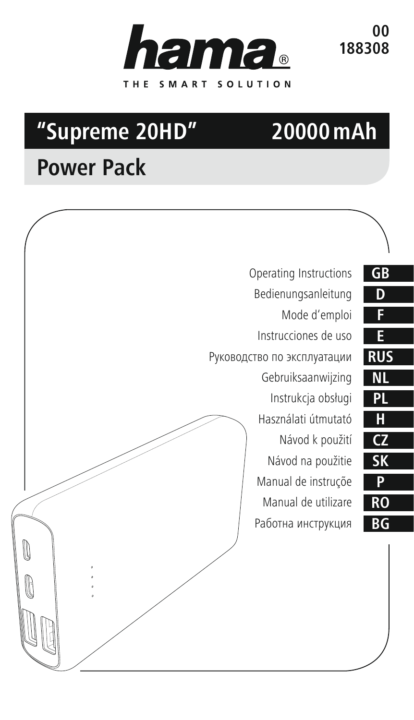

**00 188308**

# **"Supreme 20HD"**

# **20000mAh**

# **Power Pack**

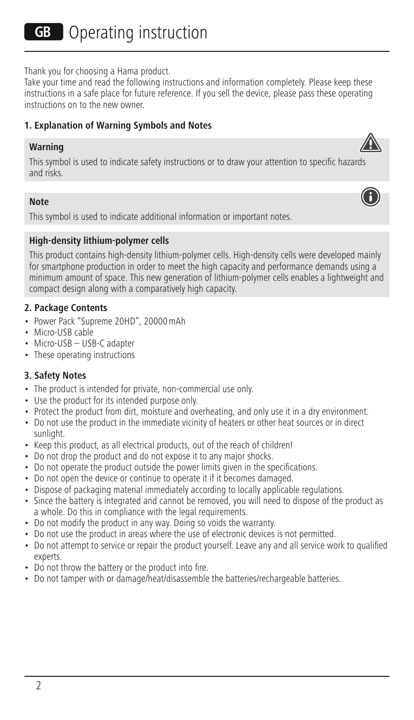Thank you for choosing a Hama product.

Take your time and read the following instructions and information completely. Please keep these instructions in a safe place for future reference. If you sell the device, please pass these operating instructions on to the new owner.

#### **1. Explanation of Warning Symbols and Notes**

#### **Warning**

This symbol is used to indicate safety instructions or to draw your attention to specific hazards and risks.

#### **Note**

This symbol is used to indicate additional information or important notes.

#### **High-density lithium-polymer cells**

This product contains high-density lithium-polymer cells. High-density cells were developed mainly for smartphone production in order to meet the high capacity and performance demands using a minimum amount of space. This new generation of lithium-polymer cells enables a lightweight and compact design along with a comparatively high capacity.

#### **2. Package Contents**

- Power Pack "Supreme 20HD", 20000mAh
- Micro-USB cable
- Micro-USB USB-C adapter
- These operating instructions

#### **3. Safety Notes**

- The product is intended for private, non-commercial use only.
- Use the product for its intended purpose only.
- Protect the product from dirt, moisture and overheating, and only use it in a dry environment.
- Do not use the product in the immediate vicinity of heaters or other heat sources or in direct sunlight.
- Keep this product, as all electrical products, out of the reach of children!
- Do not drop the product and do not expose it to any major shocks.
- Do not operate the product outside the power limits given in the specifications.
- Do not open the device or continue to operate it if it becomes damaged.
- Dispose of packaging material immediately according to locally applicable regulations.
- Since the battery is integrated and cannot be removed, you will need to dispose of the product as a whole. Do this in compliance with the legal requirements.
- Do not modify the product in any way. Doing so voids the warranty.
- Do not use the product in areas where the use of electronic devices is not permitted.
- Do not attempt to service or repair the product yourself. Leave any and all service work to qualified experts.
- Do not throw the battery or the product into fire.
- Do not tamper with or damage/heat/disassemble the batteries/rechargeable batteries.



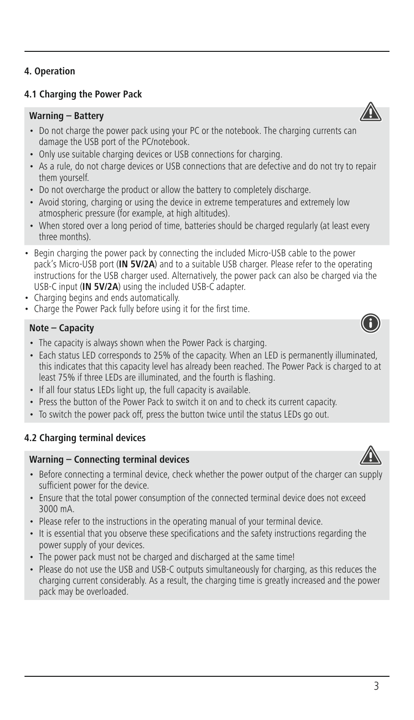# **4.1 Charging the Power Pack**

#### **Warning – Battery**

- Do not charge the power pack using your PC or the notebook. The charging currents can damage the USB port of the PC/notebook.
- Only use suitable charging devices or USB connections for charging.
- As a rule, do not charge devices or USB connections that are defective and do not try to repair them yourself.
- Do not overcharge the product or allow the battery to completely discharge.
- Avoid storing, charging or using the device in extreme temperatures and extremely low atmospheric pressure (for example, at high altitudes).
- When stored over a long period of time, batteries should be charged regularly (at least every three months).
- Begin charging the power pack by connecting the included Micro-USB cable to the power pack's Micro-USB port (**IN 5V/2A**) and to a suitable USB charger. Please refer to the operating instructions for the USB charger used. Alternatively, the power pack can also be charged via the USB-C input (**IN 5V/2A**) using the included USB-C adapter.
- Charging begins and ends automatically.
- Charge the Power Pack fully before using it for the first time.

# **Note – Capacity**

- The capacity is always shown when the Power Pack is charging.
- Each status LED corresponds to 25% of the capacity. When an LED is permanently illuminated, this indicates that this capacity level has already been reached. The Power Pack is charged to at least 75% if three LEDs are illuminated, and the fourth is flashing.
- If all four status LEDs light up, the full capacity is available.
- Press the button of the Power Pack to switch it on and to check its current capacity.
- To switch the power pack off, press the button twice until the status LEDs go out.

# **4.2 Charging terminal devices**

#### **Warning – Connecting terminal devices**

- Before connecting a terminal device, check whether the power output of the charger can supply sufficient power for the device.
- Ensure that the total power consumption of the connected terminal device does not exceed 3000 mA.
- Please refer to the instructions in the operating manual of your terminal device.
- It is essential that you observe these specifications and the safety instructions regarding the power supply of your devices.
- The power pack must not be charged and discharged at the same time!
- Please do not use the USB and USB-C outputs simultaneously for charging, as this reduces the charging current considerably. As a result, the charging time is greatly increased and the power pack may be overloaded.



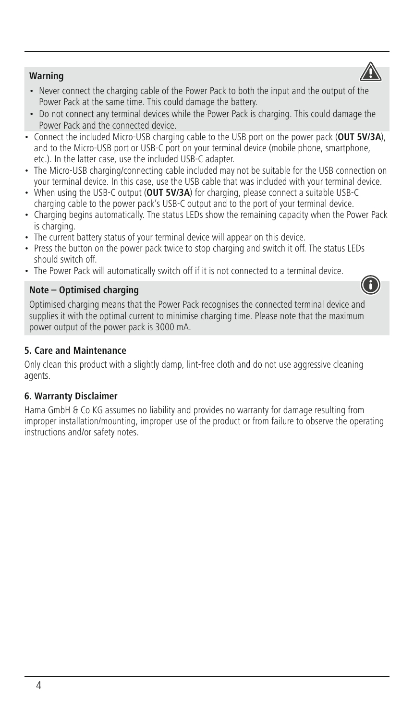# **Warning**

- Never connect the charging cable of the Power Pack to both the input and the output of the Power Pack at the same time. This could damage the battery.
- Do not connect any terminal devices while the Power Pack is charging. This could damage the Power Pack and the connected device.
- Connect the included Micro-USB charging cable to the USB port on the power pack (**OUT 5V/3A**), and to the Micro-USB port or USB-C port on your terminal device (mobile phone, smartphone, etc.). In the latter case, use the included USB-C adapter.
- The Micro-USB charging/connecting cable included may not be suitable for the USB connection on your terminal device. In this case, use the USB cable that was included with your terminal device.
- When using the USB-C output (**OUT 5V/3A**) for charging, please connect a suitable USB-C charging cable to the power pack's USB-C output and to the port of your terminal device.
- Charging begins automatically. The status LEDs show the remaining capacity when the Power Pack is charging.
- The current battery status of your terminal device will appear on this device.
- Press the button on the power pack twice to stop charging and switch it off. The status LEDs should switch off.
- The Power Pack will automatically switch off if it is not connected to a terminal device.

#### **Note – Optimised charging**

Optimised charging means that the Power Pack recognises the connected terminal device and supplies it with the optimal current to minimise charging time. Please note that the maximum power output of the power pack is 3000 mA.

#### **5. Care and Maintenance**

Only clean this product with a slightly damp, lint-free cloth and do not use aggressive cleaning agents.

#### **6. Warranty Disclaimer**

Hama GmbH & Co KG assumes no liability and provides no warranty for damage resulting from improper installation/mounting, improper use of the product or from failure to observe the operating instructions and/or safety notes.



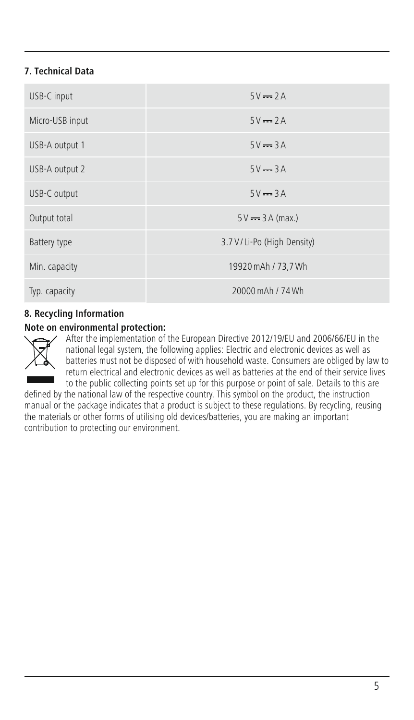# **7. Technical Data**

| USB-C input     | $5V = 2A$                    |
|-----------------|------------------------------|
| Micro-USB input | $5V = 2A$                    |
| USB-A output 1  | $5V = 3A$                    |
| USB-A output 2  | $5V = 3A$                    |
| USB-C output    | $5V = 3A$                    |
| Output total    | $5V = 3A (max.)$             |
| Battery type    | 3.7 V / Li-Po (High Density) |
| Min. capacity   | 19920 mAh / 73,7 Wh          |
| Typ. capacity   | 20000 mAh / 74 Wh            |

#### **8. Recycling Information**

#### **Note on environmental protection:**



After the implementation of the European Directive 2012/19/EU and 2006/66/EU in the national legal system, the following applies: Electric and electronic devices as well as batteries must not be disposed of with household waste. Consumers are obliged by law to return electrical and electronic devices as well as batteries at the end of their service lives to the public collecting points set up for this purpose or point of sale. Details to this are

defined by the national law of the respective country. This symbol on the product, the instruction manual or the package indicates that a product is subject to these regulations. By recycling, reusing the materials or other forms of utilising old devices/batteries, you are making an important contribution to protecting our environment.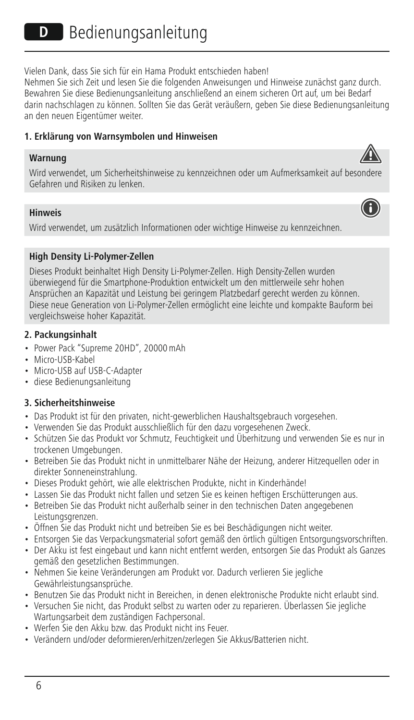Vielen Dank, dass Sie sich für ein Hama Produkt entschieden haben!

Nehmen Sie sich Zeit und lesen Sie die folgenden Anweisungen und Hinweise zunächst ganz durch. Bewahren Sie diese Bedienungsanleitung anschließend an einem sicheren Ort auf, um bei Bedarf darin nachschlagen zu können. Sollten Sie das Gerät veräußern, geben Sie diese Bedienungsanleitung an den neuen Eigentümer weiter.

#### **1. Erklärung von Warnsymbolen und Hinweisen**

#### **Warnung**

Wird verwendet, um Sicherheitshinweise zu kennzeichnen oder um Aufmerksamkeit auf besondere Gefahren und Risiken zu lenken.

# **Hinweis**

Wird verwendet, um zusätzlich Informationen oder wichtige Hinweise zu kennzeichnen.

# **High Density Li-Polymer-Zellen**

Dieses Produkt beinhaltet High Density Li-Polymer-Zellen. High Density-Zellen wurden überwiegend für die Smartphone-Produktion entwickelt um den mittlerweile sehr hohen Ansprüchen an Kapazität und Leistung bei geringem Platzbedarf gerecht werden zu können. Diese neue Generation von Li-Polymer-Zellen ermöglicht eine leichte und kompakte Bauform bei vergleichsweise hoher Kapazität.

# **2. Packungsinhalt**

- Power Pack "Supreme 20HD", 20000mAh
- Micro-USB-Kabel
- Micro-USB auf USB-C-Adapter
- diese Bedienungsanleitung

# **3. Sicherheitshinweise**

- Das Produkt ist für den privaten, nicht-gewerblichen Haushaltsgebrauch vorgesehen.
- Verwenden Sie das Produkt ausschließlich für den dazu vorgesehenen Zweck.
- Schützen Sie das Produkt vor Schmutz, Feuchtigkeit und Überhitzung und verwenden Sie es nur in trockenen Umgebungen.
- Betreiben Sie das Produkt nicht in unmittelbarer Nähe der Heizung, anderer Hitzequellen oder in direkter Sonneneinstrahlung.
- Dieses Produkt gehört, wie alle elektrischen Produkte, nicht in Kinderhände!
- Lassen Sie das Produkt nicht fallen und setzen Sie es keinen heftigen Erschütterungen aus.
- Betreiben Sie das Produkt nicht außerhalb seiner in den technischen Daten angegebenen Leistungsgrenzen.
- Öffnen Sie das Produkt nicht und betreiben Sie es bei Beschädigungen nicht weiter.
- Entsorgen Sie das Verpackungsmaterial sofort gemäß den örtlich gültigen Entsorgungsvorschriften.
- Der Akku ist fest eingebaut und kann nicht entfernt werden, entsorgen Sie das Produkt als Ganzes gemäß den gesetzlichen Bestimmungen.
- Nehmen Sie keine Veränderungen am Produkt vor. Dadurch verlieren Sie jegliche Gewährleistungsansprüche.
- Benutzen Sie das Produkt nicht in Bereichen, in denen elektronische Produkte nicht erlaubt sind.
- Versuchen Sie nicht, das Produkt selbst zu warten oder zu reparieren. Überlassen Sie jegliche Wartungsarbeit dem zuständigen Fachpersonal.
- Werfen Sie den Akku bzw. das Produkt nicht ins Feuer.
- Verändern und/oder deformieren/erhitzen/zerlegen Sie Akkus/Batterien nicht.



G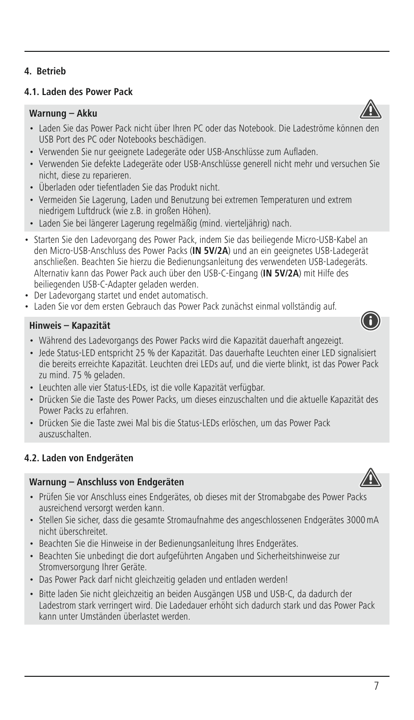# **4. Betrieb**

#### **4.1. Laden des Power Pack**

#### **Warnung – Akku**

- Laden Sie das Power Pack nicht über Ihren PC oder das Notebook. Die Ladeströme können de USB Port des PC oder Notebooks beschädigen.
- Verwenden Sie nur geeignete Ladegeräte oder USB-Anschlüsse zum Aufladen.
- Verwenden Sie defekte Ladegeräte oder USB-Anschlüsse generell nicht mehr und versuchen Sie nicht, diese zu reparieren.
- Überladen oder tiefentladen Sie das Produkt nicht.
- Vermeiden Sie Lagerung, Laden und Benutzung bei extremen Temperaturen und extrem niedrigem Luftdruck (wie z.B. in großen Höhen).
- Laden Sie bei längerer Lagerung regelmäßig (mind. vierteljährig) nach.
- Starten Sie den Ladevorgang des Power Pack, indem Sie das beiliegende Micro-USB-Kabel an den Micro-USB-Anschluss des Power Packs (**IN 5V/2A**) und an ein geeignetes USB-Ladegerät anschließen. Beachten Sie hierzu die Bedienungsanleitung des verwendeten USB-Ladegeräts. Alternativ kann das Power Pack auch über den USB-C-Eingang (**IN 5V/2A**) mit Hilfe des beiliegenden USB-C-Adapter geladen werden.
- Der Ladevorgang startet und endet automatisch.
- Laden Sie vor dem ersten Gebrauch das Power Pack zunächst einmal vollständig auf.

#### **Hinweis – Kapazität**

- Während des Ladevorgangs des Power Packs wird die Kapazität dauerhaft angezeigt.
- Jede Status-LED entspricht 25 % der Kapazität. Das dauerhafte Leuchten einer LED signalisiert die bereits erreichte Kapazität. Leuchten drei LEDs auf, und die vierte blinkt, ist das Power Pack zu mind. 75 % geladen.
- Leuchten alle vier Status-LEDs, ist die volle Kapazität verfügbar.
- Drücken Sie die Taste des Power Packs, um dieses einzuschalten und die aktuelle Kapazität des Power Packs zu erfahren.
- Drücken Sie die Taste zwei Mal bis die Status-LEDs erlöschen, um das Power Pack auszuschalten.

# **4.2. Laden von Endgeräten**

#### **Warnung – Anschluss von Endgeräten**

- Prüfen Sie vor Anschluss eines Endgerätes, ob dieses mit der Stromabgabe des Power Packs ausreichend versorgt werden kann.
- Stellen Sie sicher, dass die gesamte Stromaufnahme des angeschlossenen Endgerätes 3000mA nicht überschreitet.
- Beachten Sie die Hinweise in der Bedienungsanleitung Ihres Endgerätes.
- Beachten Sie unbedingt die dort aufgeführten Angaben und Sicherheitshinweise zur Stromversorgung Ihrer Geräte.
- Das Power Pack darf nicht gleichzeitig geladen und entladen werden!
- Bitte laden Sie nicht gleichzeitig an beiden Ausgängen USB und USB-C, da dadurch der Ladestrom stark verringert wird. Die Ladedauer erhöht sich dadurch stark und das Power Pack kann unter Umständen überlastet werden.

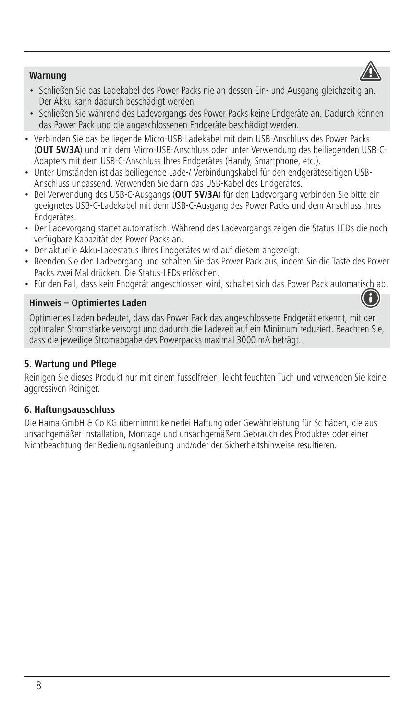

- Schließen Sie das Ladekabel des Power Packs nie an dessen Ein- und Ausgang gleichzeitig an. Der Akku kann dadurch beschädigt werden.
- Schließen Sie während des Ladevorgangs des Power Packs keine Endgeräte an. Dadurch können das Power Pack und die angeschlossenen Endgeräte beschädigt werden.
- Verbinden Sie das beiliegende Micro-USB-Ladekabel mit dem USB-Anschluss des Power Packs (**OUT 5V/3A**) und mit dem Micro-USB-Anschluss oder unter Verwendung des beiliegenden USB-C-Adapters mit dem USB-C-Anschluss Ihres Endgerätes (Handy, Smartphone, etc.).
- Unter Umständen ist das beiliegende Lade-/ Verbindungskabel für den endgeräteseitigen USB-Anschluss unpassend. Verwenden Sie dann das USB-Kabel des Endgerätes.
- Bei Verwendung des USB-C-Ausgangs (**OUT 5V/3A**) für den Ladevorgang verbinden Sie bitte ein geeignetes USB-C-Ladekabel mit dem USB-C-Ausgang des Power Packs und dem Anschluss Ihres Endgerätes.
- Der Ladevorgang startet automatisch. Während des Ladevorgangs zeigen die Status-LEDs die noch verfügbare Kapazität des Power Packs an.
- Der aktuelle Akku-Ladestatus Ihres Endgerätes wird auf diesem angezeigt.
- Beenden Sie den Ladevorgang und schalten Sie das Power Pack aus, indem Sie die Taste des Power Packs zwei Mal drücken. Die Status-LEDs erlöschen.
- Für den Fall, dass kein Endgerät angeschlossen wird, schaltet sich das Power Pack automatisch ab.

#### **Hinweis – Optimiertes Laden**

Optimiertes Laden bedeutet, dass das Power Pack das angeschlossene Endgerät erkennt, mit der optimalen Stromstärke versorgt und dadurch die Ladezeit auf ein Minimum reduziert. Beachten Sie, dass die jeweilige Stromabgabe des Powerpacks maximal 3000 mA beträgt.

# **5. Wartung und Pflege**

Reinigen Sie dieses Produkt nur mit einem fusselfreien, leicht feuchten Tuch und verwenden Sie keine aggressiven Reiniger.

# **6. Haftungsausschluss**

Die Hama GmbH & Co KG übernimmt keinerlei Haftung oder Gewährleistung für Sc häden, die aus unsachgemäßer Installation, Montage und unsachgemäßem Gebrauch des Produktes oder einer Nichtbeachtung der Bedienungsanleitung und/oder der Sicherheitshinweise resultieren.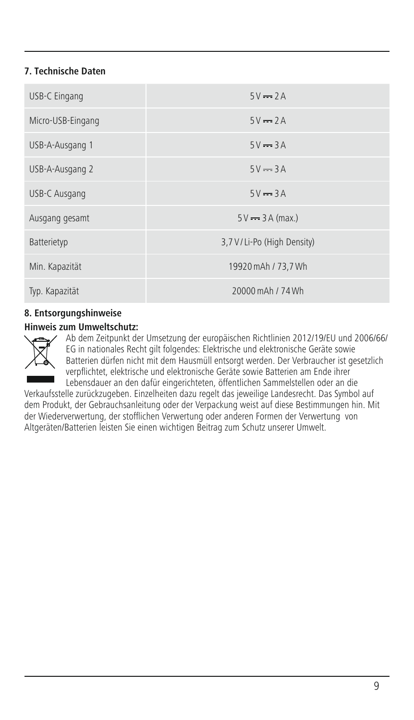# **7. Technische Daten**

| USB-C Eingang     | $5V = 2A$                    |
|-------------------|------------------------------|
| Micro-USB-Eingang | $5V = 2A$                    |
| USB-A-Ausgang 1   | $5V = 3A$                    |
| USB-A-Ausgang 2   | $5V = 3A$                    |
| USB-C Ausgang     | $5V = 3A$                    |
| Ausgang gesamt    | $5V \rightarrow 3A$ (max.)   |
| Batterietyp       | 3,7 V / Li-Po (High Density) |
| Min. Kapazität    | 19920 mAh / 73.7 Wh          |
| Typ. Kapazität    | 20000 mAh / 74 Wh            |

# **8. Entsorgungshinweise**

#### **Hinweis zum Umweltschutz:**



Ab dem Zeitpunkt der Umsetzung der europäischen Richtlinien 2012/19/EU und 2006/66/ EG in nationales Recht gilt folgendes: Elektrische und elektronische Geräte sowie Batterien dürfen nicht mit dem Hausmüll entsorgt werden. Der Verbraucher ist gesetzlich verpflichtet, elektrische und elektronische Geräte sowie Batterien am Ende ihrer Lebensdauer an den dafür eingerichteten, öffentlichen Sammelstellen oder an die

Verkaufsstelle zurückzugeben. Einzelheiten dazu regelt das jeweilige Landesrecht. Das Symbol auf dem Produkt, der Gebrauchsanleitung oder der Verpackung weist auf diese Bestimmungen hin. Mit der Wiederverwertung, der stofflichen Verwertung oder anderen Formen der Verwertung von Altgeräten/Batterien leisten Sie einen wichtigen Beitrag zum Schutz unserer Umwelt.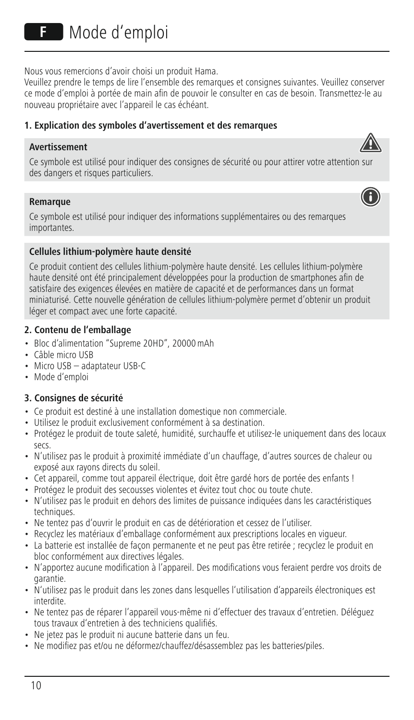Nous vous remercions d'avoir choisi un produit Hama.

Veuillez prendre le temps de lire l'ensemble des remarques et consignes suivantes. Veuillez conserver ce mode d'emploi à portée de main afin de pouvoir le consulter en cas de besoin. Transmettez-le au nouveau propriétaire avec l'appareil le cas échéant.

# **1. Explication des symboles d'avertissement et des remarques**

# **Avertissement**



A

#### **Remarque**

Ce symbole est utilisé pour indiquer des informations supplémentaires ou des remarques importantes.

# **Cellules lithium-polymère haute densité**

Ce produit contient des cellules lithium-polymère haute densité. Les cellules lithium-polymère haute densité ont été principalement développées pour la production de smartphones afin de satisfaire des exigences élevées en matière de capacité et de performances dans un format miniaturisé. Cette nouvelle génération de cellules lithium-polymère permet d'obtenir un produit léger et compact avec une forte capacité.

# **2. Contenu de l'emballage**

- Bloc d'alimentation "Supreme 20HD", 20000mAh
- Câble micro USB
- Micro USB adaptateur USB-C
- Mode d'emploi

# **3. Consignes de sécurité**

- Ce produit est destiné à une installation domestique non commerciale.
- Utilisez le produit exclusivement conformément à sa destination.
- Protégez le produit de toute saleté, humidité, surchauffe et utilisez-le uniquement dans des locaux secs.
- N'utilisez pas le produit à proximité immédiate d'un chauffage, d'autres sources de chaleur ou exposé aux rayons directs du soleil.
- Cet appareil, comme tout appareil électrique, doit être gardé hors de portée des enfants !
- Protégez le produit des secousses violentes et évitez tout choc ou toute chute.
- N'utilisez pas le produit en dehors des limites de puissance indiquées dans les caractéristiques techniques.
- Ne tentez pas d'ouvrir le produit en cas de détérioration et cessez de l'utiliser.
- Recyclez les matériaux d'emballage conformément aux prescriptions locales en vigueur.
- La batterie est installée de façon permanente et ne peut pas être retirée ; recyclez le produit en bloc conformément aux directives légales.
- N'apportez aucune modification à l'appareil. Des modifications vous feraient perdre vos droits de garantie.
- N'utilisez pas le produit dans les zones dans lesquelles l'utilisation d'appareils électroniques est interdite.
- Ne tentez pas de réparer l'appareil vous-même ni d'effectuer des travaux d'entretien. Déléguez tous travaux d'entretien à des techniciens qualifiés.
- Ne jetez pas le produit ni aucune batterie dans un feu.
- Ne modifiez pas et/ou ne déformez/chauffez/désassemblez pas les batteries/piles.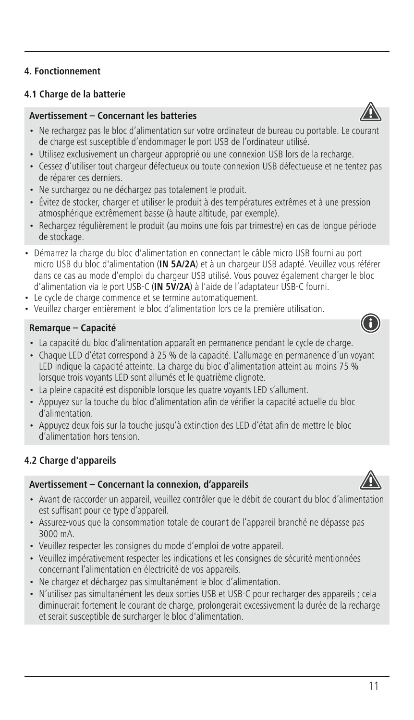# **4.1 Charge de la batterie**

# **Avertissement – Concernant les batteries**

- Ne rechargez pas le bloc d'alimentation sur votre ordinateur de bureau ou portable. Le courant de charge est susceptible d'endommager le port USB de l'ordinateur utilisé.
- Utilisez exclusivement un chargeur approprié ou une connexion USB lors de la recharge.
- Cessez d'utiliser tout chargeur défectueux ou toute connexion USB défectueuse et ne tentez pas de réparer ces derniers.
- Ne surchargez ou ne déchargez pas totalement le produit.
- Évitez de stocker, charger et utiliser le produit à des températures extrêmes et à une pression atmosphérique extrêmement basse (à haute altitude, par exemple).
- Rechargez régulièrement le produit (au moins une fois par trimestre) en cas de longue période de stockage.
- Démarrez la charge du bloc d'alimentation en connectant le câble micro USB fourni au port micro USB du bloc d'alimentation (**IN 5A/2A**) etàun chargeur USB adapté. Veuillez vous référer dans ce cas au mode d'emploi du chargeur USB utilisé. Vous pouvez également charger le bloc d'alimentation via le port USB-C (**IN 5V/2A**) à l'aide de l'adaptateur USB-C fourni.
- Le cycle de charge commence et se termine automatiquement.
- Veuillez charger entièrement le bloc d'alimentation lors de la première utilisation.

#### **Remarque – Capacité**

- La capacité du bloc d'alimentation apparaît en permanence pendant le cycle de charge.
- Chaque LED d'état correspond à 25%de la capacité. L'allumage en permanence d'un voyant LED indique la capacité atteinte. La charge du bloc d'alimentation atteint au moins 75 % lorsque trois voyants LED sont allumés et le quatrième clignote.
- La pleine capacité est disponible lorsque les quatre voyants LED s'allument.
- Appuyez sur la touche du bloc d'alimentation afin de vérifier la capacité actuelle du bloc d'alimentation.
- Appuyez deux fois sur la touche jusqu'à extinction des LED d'état afin de mettre le bloc d'alimentation hors tension.

# **4.2 Charge d'appareils**

# **Avertissement – Concernant la connexion' d'appareils**

- Avant de raccorder un appareil, veuillez contrôler que le débit de courant du bloc d'alimentation
- est suffisant pour ce type d'appareil. • Assurez-vous que la consommation totale de courant de l'appareil branché ne dépasse pas 3000 mA.
- Veuillez respecter les consignes du mode d'emploi de votre appareil.
- Veuillez impérativement respecter les indications et les consignes de sécurité mentionnées concernant l'alimentation en électricité de vos appareils.
- Ne chargez et déchargez pas simultanément le bloc d'alimentation.
- N'utilisez pas simultanément les deux sorties USB et USB-C pour recharger des appareils ; cela diminuerait fortement le courant de charge, prolongerait excessivement la durée de la recharge et serait susceptible de surcharger le bloc d'alimentation.







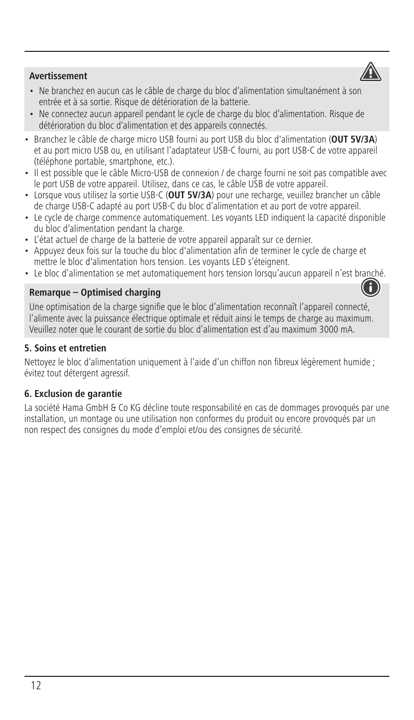# **Avertissement**

- Ne branchez en aucun cas le câble de charge du bloc d'alimentation simultanément à son entrée et à sa sortie. Risque de détérioration de la batterie.
- Ne connectez aucun appareil pendant le cycle de charge du bloc d'alimentation. Risque de détérioration du bloc d'alimentation et des appareils connectés.
- Branchez le câble de charge micro USB fourni au port USB du bloc d'alimentation (**OUT 5V/3A**) et au port micro USB ou, en utilisant l'adaptateur USB-C fourni, au port USB-C de votre appareil (téléphone portable, smartphone, etc.).
- Il est possible que le câble Micro-USB de connexion / de charge fourni ne soit pas compatible avec le port USB de votre appareil. Utilisez, dans ce cas, le câble USB de votre appareil.
- Lorsque vous utilisez la sortie USB-C (**OUT 5V/3A**) pour une recharge, veuillez brancher un câble de charge USB-C adapté au port USB-C du bloc d'alimentation et au port de votre appareil.
- Le cycle de charge commence automatiquement. Les voyants LED indiquent la capacité disponible du bloc d'alimentation pendant la charge.
- L'état actuel de charge de la batterie de votre appareil apparaît sur ce dernier.
- Appuyez deux fois sur la touche du bloc d'alimentation afin de terminer le cycle de charge et mettre le bloc d'alimentation hors tension. Les voyants LED s'éteignent.
- Le bloc d'alimentation se met automatiquement hors tension lorsqu'aucun appareil n'est branché.

# **Remarque – Optimised charging**

Une optimisation de la charge signifie que le bloc d'alimentation reconnaît l'appareil connecté, l'alimente avec la puissance électrique optimale et réduit ainsi le temps de charge au maximum. Veuillez noter que le courant de sortie du bloc d'alimentation est d'au maximum 3000 mA.

# **5. Soins et entretien**

Nettoyez le bloc d'alimentation uniquement à l'aide d'un chiffon non fibreux légèrement humide ; évitez tout détergent agressif.

# **6. Exclusion de garantie**

La société Hama GmbH & Co KG décline toute responsabilité en cas de dommages provoqués par une installation, un montage ou une utilisation non conformes du produit ou encore provoqués par un non respect des consignes du mode d'emploi et/ou des consignes de sécurité.



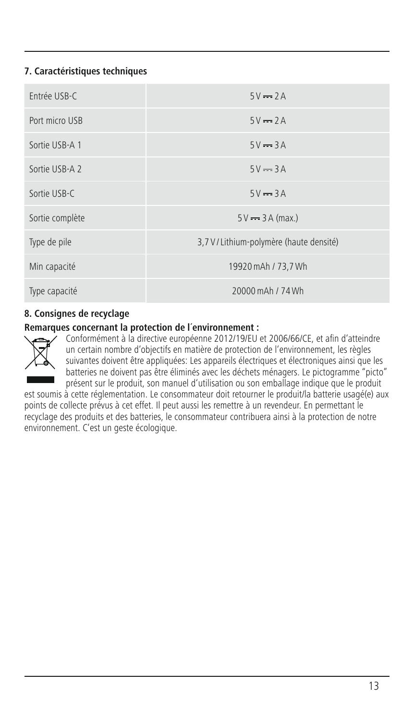# **7. Caractéristiques techniques**

| Fntrée USB-C    | $5V = 2A$                                |
|-----------------|------------------------------------------|
| Port micro USB  | $5V = 2A$                                |
| Sortie USB-A 1  | $5V = 3A$                                |
| Sortie USB-A 2  | $5V = 3A$                                |
| Sortie USB-C    | $5V = 3A$                                |
| Sortie complète | $5V = 3A$ (max.)                         |
| Type de pile    | 3,7 V / Lithium-polymère (haute densité) |
| Min capacité    | 19920 mAh / 73,7 Wh                      |
| Type capacité   | 20000 mAh / 74 Wh                        |

# **8. Consignes de recyclage**

# **Remarques concernant la protection de l´environnement :**



Conformément à la directive européenne 2012/19/EU et 2006/66/CE, et afin d'atteindre un certain nombre d'objectifs en matière de protection de l'environnement, les règles suivantes doivent être appliquées: Les appareils électriques et électroniques ainsi que les batteries ne doivent pas être éliminés avec les déchets ménagers. Le pictogramme "picto" présent sur le produit, son manuel d'utilisation ou son emballage indique que le produit

est soumis à cette réglementation. Le consommateur doit retourner le produit/la batterie usagé(e) aux points de collecte prévus à cet effet. Il peut aussi les remettre à un revendeur. En permettant le recyclage des produits et des batteries, le consommateur contribuera ainsi à la protection de notre environnement. C'est un geste écologique.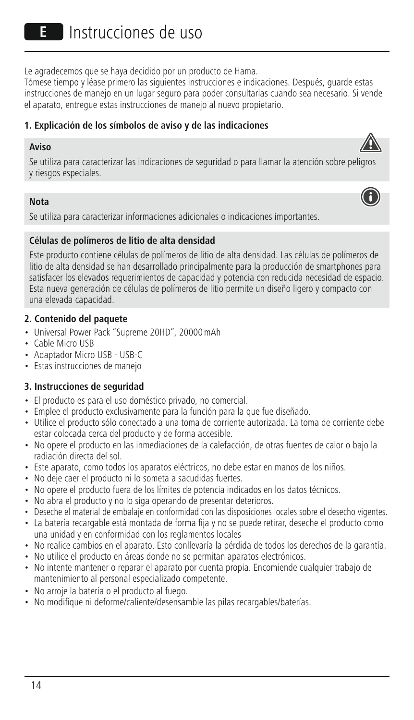Le agradecemos que se haya decidido por un producto de Hama.

Tómese tiempo y léase primero las siguientes instrucciones e indicaciones. Después, guarde estas instrucciones de manejo en un lugar seguro para poder consultarlas cuando sea necesario. Si vende el aparato, entregue estas instrucciones de manejo al nuevo propietario.

# **1. Explicación de los símbolos de aviso y de las indicaciones**

#### **Aviso**



#### **Nota**

Se utiliza para caracterizar informaciones adicionales o indicaciones importantes.

# **Células de polímeros de litio de alta densidad**

Este producto contiene células de polímeros de litio de alta densidad. Las células de polímeros de litio de alta densidad se han desarrollado principalmente para la producción de smartphones para satisfacer los elevados requerimientos de capacidad y potencia con reducida necesidad de espacio. Esta nueva generación de células de polímeros de litio permite un diseño ligero y compacto con una elevada capacidad.

#### **2. Contenido del paquete**

- Universal Power Pack "Supreme 20HD", 20000mAh
- Cable Micro USB
- Adaptador Micro USB USB-C
- Estas instrucciones de manejo

# **3. Instrucciones de seguridad**

- El producto es para el uso doméstico privado, no comercial.
- Emplee el producto exclusivamente para la función para la que fue diseñado.
- Utilice el producto sólo conectado a una toma de corriente autorizada. La toma de corriente debe estar colocada cerca del producto y de forma accesible.
- No opere el producto en las inmediaciones de la calefacción, de otras fuentes de calor o bajo la radiación directa del sol.
- Este aparato, como todos los aparatos eléctricos, no debe estar en manos de los niños.
- No deje caer el producto ni lo someta a sacudidas fuertes.
- No opere el producto fuera de los límites de potencia indicados en los datos técnicos.
- No abra el producto y no lo siga operando de presentar deterioros.
- Deseche el material de embalaje en conformidad con las disposiciones locales sobre el desecho vigentes.
- La batería recargable está montada de forma fija y no se puede retirar, deseche el producto como una unidad y en conformidad con los reglamentos locales
- No realice cambios en el aparato. Esto conllevaría la pérdida de todos los derechos de la garantía.
- No utilice el producto en áreas donde no se permitan aparatos electrónicos.
- No intente mantener o reparar el aparato por cuenta propia. Encomiende cualquier trabajo de mantenimiento al personal especializado competente.
- No arroje la batería o el producto al fuego.
- No modifique ni deforme/caliente/desensamble las pilas recargables/baterías.

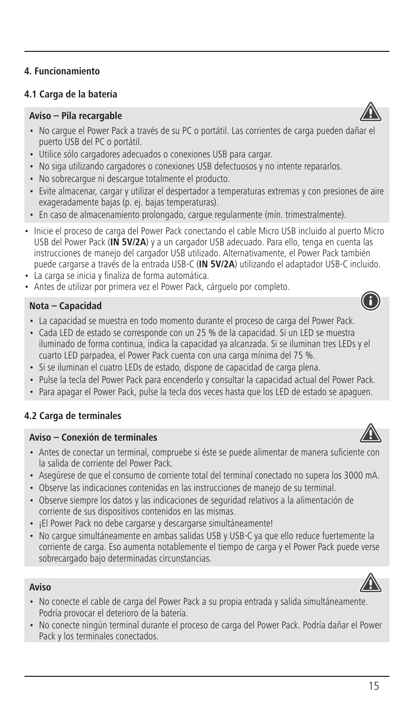# **4.1 Carga de la batería**

#### **Aviso – Pila recargable**

- No cargue el Power Pack a través de su PC o portátil. Las corrientes de carga pueden dañar el puerto USB del PC o portátil.
- Utilice sólo cargadores adecuados o conexiones USB para cargar.
- No siga utilizando cargadores o conexiones USB defectuosos y no intente repararlos.
- No sobrecargue ni descargue totalmente el producto.
- Evite almacenar, cargar y utilizar el despertador a temperaturas extremas y con presiones de aire exageradamente bajas (p. ej. bajas temperaturas).
- En caso de almacenamiento prolongado, cargue regularmente (mín. trimestralmente).
- Inicie el proceso de carga del Power Pack conectando el cable Micro USB incluido al puerto Micro USB del Power Pack (IN 5V/2A) y a un cargador USB adecuado. Para ello, tenga en cuenta las instrucciones de manejo del cargador USB utilizado. Alternativamente, el Power Pack también puede cargarse a través de la entrada USB-C (**IN 5V/2A**) utilizando el adaptador USB-C incluido.
- La carga se inicia y finaliza de forma automática.
- Antes de utilizar por primera vez el Power Pack, cárguelo por completo.

#### **Nota – Capacidad**

- La capacidad se muestra en todo momento durante el proceso de carga del Power Pack.
- Cada LED de estado se corresponde con un 25 % de la capacidad. Si un LED se muestra iluminado de forma continua, indica la capacidad ya alcanzada. Si se iluminan tres LEDs y el cuarto LED parpadea, el Power Pack cuenta con una carga mínima del 75 %.
- Si se iluminan el cuatro LEDs de estado, dispone de capacidad de carga plena.
- Pulse la tecla del Power Pack para encenderlo y consultar la capacidad actual del Power Pack.
- Para apagar el Power Pack, pulse la tecla dos veces hasta que los LED de estado se apaguen.

# **4.2 Carga de terminales**

# **Aviso – Conexión de terminales**

- Antes de conectar un terminal, compruebe si éste se puede alimentar de manera suficiente con la salida de corriente del Power Pack.
- Asegúrese de que el consumo de corriente total del terminal conectado no supera los 3000 mA.
- Observe las indicaciones contenidas en las instrucciones de manejo de su terminal.
- Observe siempre los datos y las indicaciones de seguridad relativos a la alimentación de corriente de sus dispositivos contenidos en las mismas.
- ¡El Power Pack no debe cargarse y descargarse simultáneamente!
- No cargue simultáneamente en ambas salidas USB y USB-C ya que ello reduce fuertemente la corriente de carga. Eso aumenta notablemente el tiempo de carga y el Power Pack puede verse sobrecargado bajo determinadas circunstancias.

# **Aviso**

- No conecte el cable de carga del Power Pack a su propia entrada y salida simultáneamente. Podría provocar el deterioro de la batería.
- No conecte ningún terminal durante el proceso de carga del Power Pack. Podría dañar el Power Pack y los terminales conectados.







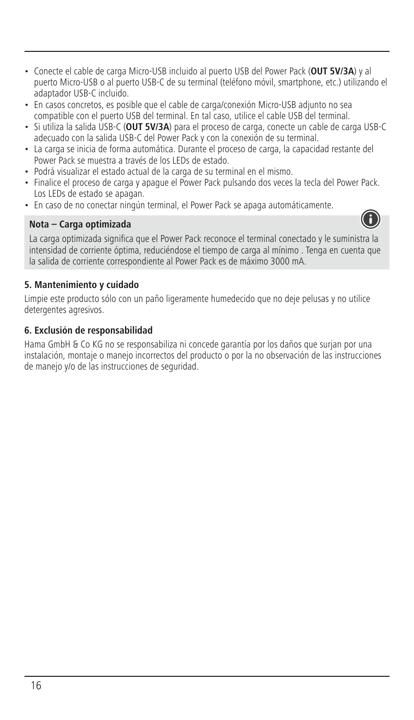- Conecte el cable de carga Micro-USB incluido al puerto USB del Power Pack (**OUT 5V/3A**) y al puerto Micro-USB o al puerto USB-C de su terminal (teléfono móvil, smartphone, etc.) utilizando el adaptador USB-C incluido.
- En casos concretos, es posible que el cable de carga/conexión Micro-USB adjunto no sea compatible con el puerto USB del terminal. En tal caso, utilice el cable USB del terminal.
- Si utiliza la salida USB-C (**OUT 5V/3A**) para el proceso de carga, conecte un cable de carga USB-C adecuado con la salida USB-C del Power Pack y con la conexión de su terminal.
- La carga se inicia de forma automática. Durante el proceso de carga, la capacidad restante del Power Pack se muestraatravés de los LEDs de estado.
- Podrá visualizar el estado actual de la carga de su terminal en el mismo.
- Finalice el proceso de carga y apague el Power Pack pulsando dos veces la tecla del Power Pack. Los LEDs de estado se apagan.
- En caso de no conectar ningún terminal, el Power Pack se apaga automáticamente.

# **Nota – Carga optimizada**



La carga optimizada significa que el Power Pack reconoce el terminal conectado y le suministra la intensidad de corriente óptima, reduciéndose el tiempo de carga al mínimo . Tenga en cuenta que la salida de corriente correspondiente al Power Pack es de máximo 3000 mA.

### **5. Mantenimiento y cuidado**

Limpie este producto sólo con un paño ligeramente humedecido que no deje pelusas y no utilice detergentes agresivos.

#### **6. Exclusión de responsabilidad**

Hama GmbH & Co KG no se responsabiliza ni concede garantía por los daños que surjan por una instalación, montaje o manejo incorrectos del producto o por la no observación de las instrucciones de manejo y/o de las instrucciones de seguridad.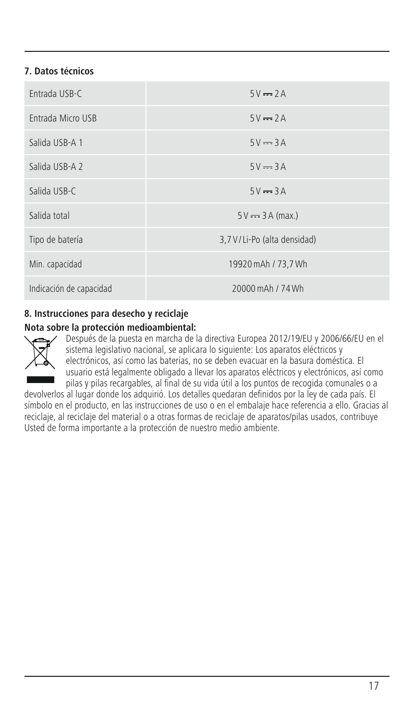# **7. Datos técnicos**

| Fntrada USB-C           | $5V = 2A$                   |
|-------------------------|-----------------------------|
| Entrada Micro USB       | $5V = 2A$                   |
| Salida USB-A 1          | $5V = 3A$                   |
| Salida USB-A 2          | $5V = 3A$                   |
| Salida USB-C            | $5V = 3A$                   |
| Salida total            | $5V = 3A (max.)$            |
| Tipo de batería         | 3,7 V/Li-Po (alta densidad) |
| Min. capacidad          | 19920 mAh / 73,7 Wh         |
| Indicación de capacidad | 20000 mAh / 74 Wh           |

# **8. Instrucciones para desecho y reciclaje**

# **Nota sobre la protección medioambiental:**



Después de la puesta en marcha de la directiva Europea 2012/19/EU y 2006/66/EU en el sistema legislativo nacional, se aplicara lo siguiente: Los aparatos eléctricos y electrónicos, así como las baterías, no se deben evacuar en la basura doméstica. El usuario está legalmente obligado a llevar los aparatos eléctricos y electrónicos, así como pilas y pilas recargables, al final de su vida útil a los puntos de recogida comunales o a

devolverlos al lugar donde los adquirió. Los detalles quedaran definidos por la ley de cada país. El símbolo en el producto, en las instrucciones de uso o en el embalaje hace referencia a ello. Gracias al reciclaje, al reciclaje del material o a otras formas de reciclaje de aparatos/pilas usados, contribuye Usted de forma importante a la protección de nuestro medio ambiente.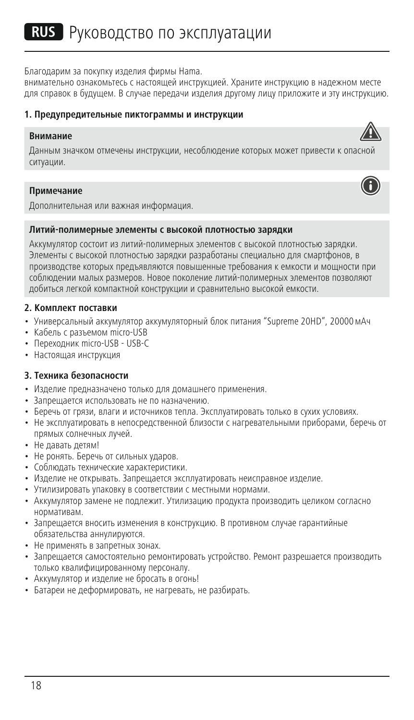Благодарим за покупку изделия фирмы Hama.

внимательно ознакомьтесь с настоящей инструкцией. Храните инструкцию в надежном месте для справок в будущем. В случае передачи изделия другому лицу приложите и эту инструкцию.

#### **1. Предупредительные пиктограммы и инструкции**

#### **Внимание**

Данным значком отмечены инструкции, несоблюдение которых может привести к опасной ситуации.

#### **Примечание**



Дополнительная или важная информация.

#### **Литий-полимерные элементы c высокой плотностью зарядки**

Аккумулятор состоит из литий-полимерных элементов с высокой плотностью зарядки. Элементы с высокой плотностью зарядки разработаны специально для смартфонов, в производстве которых предъявляются повышенные требования к емкости и мощности при соблюдении малых размеров. Новое поколение литий-полимерных элементов позволяют добиться легкой компактной конструкции и сравнительно высокой емкости.

#### **2. Комплект поставки**

- Универсальный аккумулятор аккумуляторный блок питания "Supreme 20HD", 20000мАч
- Кабель с разъемом micro-USB
- Переходник micro-USB USB-C
- Настоящая инструкция

#### **3. Техника безопасности**

- Изделие предназначено только для домашнего применения.
- Запрещается использовать не по назначению.
- Беречь от грязи, влаги и источников тепла. Эксплуатировать только в сухих условиях.
- Не эксплуатировать в непосредственной близости с нагревательными приборами, беречь от прямых солнечных лучей.
- Не давать детям!
- Не ронять. Беречь от сильных ударов.
- Соблюдать технические характеристики.
- Изделие не открывать. Запрещается эксплуатировать неисправное изделие.
- Утилизировать упаковку в соответствии с местными нормами.
- Аккумулятор замене не подлежит. Утилизацию продукта производить целиком согласно нормативам.
- Запрещается вносить изменения в конструкцию. В противном случае гарантийные обязательства аннулируются.
- Не применять в запретных зонах.
- Запрещается самостоятельно ремонтировать устройство. Ремонт разрешается производить только квалифицированному персоналу.
- Аккумулятор и изделие не бросать в огонь!
- Батареи не деформировать, не нагревать, не разбирать.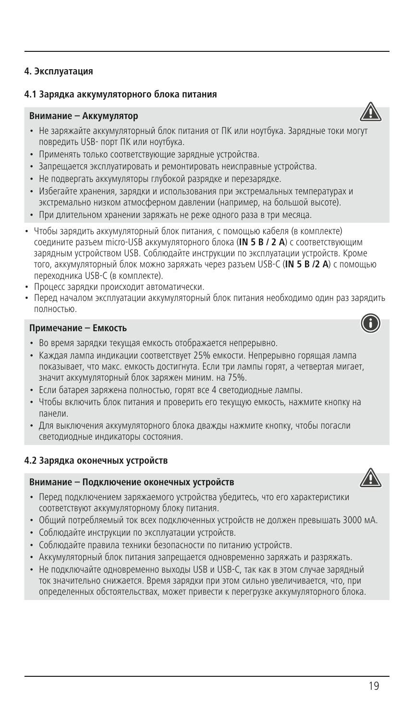# **4.1 Зарядка аккумуляторного блока питания**

# **Внимание – Аккумулятор**

- Не заряжайте аккумуляторный блок питания от ПК или ноутбука. Зарядные токи могут повредить USB- порт ПК или ноутбука.
- Применять только соответствующие зарядные устройства.
- Запрещается эксплуатировать и ремонтировать неисправные устройства.
- Не подвергать аккумуляторы глубокой разрядке и перезарядке.
- Избегайте хранения, зарядки и использования при экстремальных температурах и экстремально низком атмосферном давлении (например, на большой высоте).
- При длительном хранении заряжать не реже одного раза в три месяца.
- Чтобы зарядить аккумуляторный блок питания, с помощью кабеля (в комплекте) соедините разъем micro-USB аккумуляторного блока (**IN 5 В /2A**) с соответствующим зарядным устройством USB. Соблюдайте инструкции по эксплуатации устройств. Кроме того, аккумуляторный блок можно заряжать через разъем USB-С (**IN 5 В /2 A**) с помощью переходника USB-C (в комплекте).
- Процесс зарядки происходит автоматически.
- Перед началом эксплуатации аккумуляторный блок питания необходимо один раз зарядить полностью.

#### **Примечание – Емкость**

- Во время зарядки текущая емкость отображается непрерывно.
- Каждая лампа индикации соответствует 25% емкости. Непрерывно горящая лампа показывает, что макс. емкость достигнута. Если три лампы горят, а четвертая мигает, значит аккумуляторный блок заряжен миним. на 75%.
- Если батарея заряжена полностью, горят все 4 светодиодные лампы.
- Чтобы включить блок питания и проверить его текущую емкость, нажмите кнопку на панели.
- Для выключения аккумуляторного блока дважды нажмите кнопку, чтобы погасли светодиодные индикаторы состояния.

# **4.2 Зарядка оконечных устройств**

#### **Внимание – Подключение оконечных устройств**

- Перед подключением заряжаемого устройства убедитесь, что его характеристики соответствуют аккумуляторному блоку питания.
- Общий потребляемый ток всех подключенных устройств не должен превышать 3000 мА.
- Соблюдайте инструкции по эксплуатации устройств.
- Соблюдайте правила техники безопасности по питанию устройств.
- Аккумуляторный блок питания запрещается одновременно заряжать и разряжать.
- Не подключайте одновременно выходы USB и USB-C, так как в этом случае зарядный ток значительно снижается. Время зарядки при этом сильно увеличивается, что, при определенных обстоятельствах, может привести к перегрузке аккумуляторного блока.



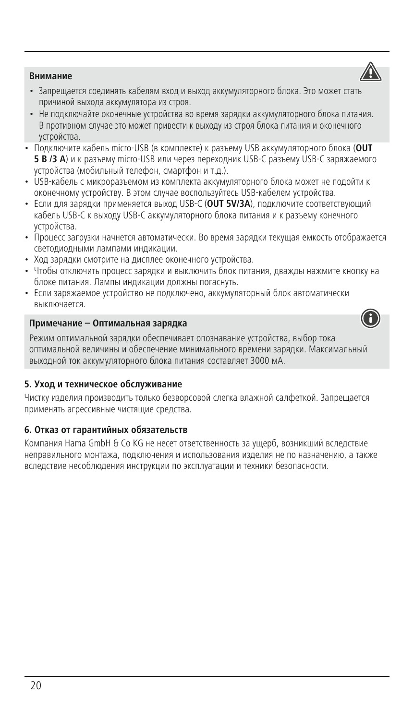# **Внимание**

- Запрещается соединять кабелям вход и выход аккумуляторного блока. Это может стать причиной выхода аккумулятора из строя.
- Не подключайте оконечные устройства во время зарядки аккумуляторного блока питания. В противном случае это может привести к выходу из строя блока питания и оконечного устройства.
- Подключите кабель micro-USB (в комплекте) к разъему USB аккумуляторного блока (**OUT 5 В /3 A**) икразъему micro-USB или через переходник USB-C разъему USB-C заряжаемого устройства (мобильный телефон, смартфон и т.д.).
- USB-кабель с микроразъемом из комплекта аккумуляторного блока может не подойти к оконечному устройству. В этом случае воспользуйтесь USB-кабелем устройства.
- Если для зарядки применяется выход USB-C (**OUT 5V/3A**), подключите соответствующий кабель USB-C к выходу USB-C аккумуляторного блока питания икразъему конечного устройства.
- Процесс загрузки начнется автоматически. Во время зарядки текущая емкость отображается светодиодными лампами индикации.
- Ход зарядки смотрите на дисплее оконечного устройства.
- Чтобы отключить процесс зарядки и выключить блок питания, дважды нажмите кнопку на блоке питания. Лампы индикации должны погаснуть.
- Если заряжаемое устройство не подключено, аккумуляторный блок автоматически выключается.

# **Примечание – Оптимальная зарядка**

Режим оптимальной зарядки обеспечивает опознавание устройства, выбор тока оптимальной величины и обеспечение минимального времени зарядки. Максимальный выходной ток аккумуляторного блока питания составляет 3000 мА.

# **5. Уход и техническое обслуживание**

Чистку изделия производить только безворсовой слегка влажной салфеткой. Запрещается применять агрессивные чистящие средства.

# **6. Отказ от гарантийных обязательств**

Компания Hama GmbH & Co KG не несет ответственность за ущерб, возникший вследствие неправильного монтажа, подключения и использования изделия не по назначению, а также вследствие несоблюдения инструкции по эксплуатации и техники безопасности.



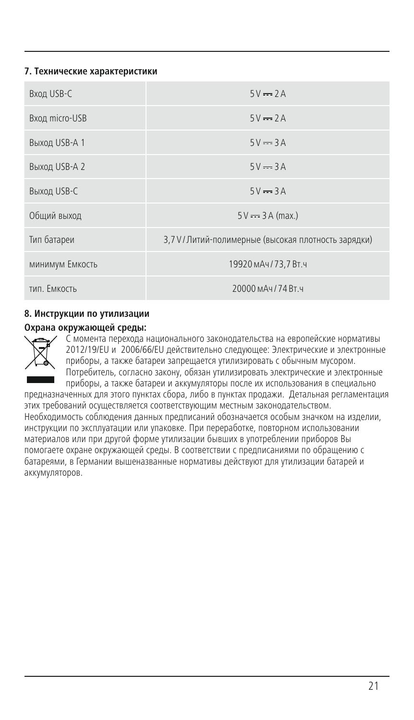#### **7. Технические характеристики**

| <b>Вход USB-С</b> | $5V = 2A$                                            |
|-------------------|------------------------------------------------------|
| Вход micro-USB    | $5V = 2A$                                            |
| Выход USB-A 1     | $5V = 3A$                                            |
| Выход USB-A 2     | $5V = 3A$                                            |
| Выход USB-C       | $5V = 3A$                                            |
| Общий выход       | $5V = 3A$ (max.)                                     |
| Тип батареи       | 3,7 V / Литий-полимерные (высокая плотность зарядки) |
| минимум Емкость   | 19920 мАч / 73.7 Вт.ч                                |
| тип. Емкость      | 20000 м Ач / 74 Вт. ч                                |

## **8. Инструкции по утилизации**

#### **Охрана окружающей среды:**



С момента перехода национального законодательства на европейские нормативы 2012/19/EU и 2006/66/EU действительно следующее: Электрические и электронные приборы, а также батареи запрещается утилизировать с обычным мусором. Потребитель, согласно закону, обязан утилизировать электрические и электронные приборы, а также батареи и аккумуляторы после их использования в специально

предназначенных для этого пунктах сбора, либо в пунктах продажи. Детальная регламентация этих требований осуществляется соответствующим местным законодательством. Необходимость соблюдения данных предписаний обозначается особым значком на изделии, инструкции по эксплуатации или упаковке. При переработке, повторном использовании материалов или при другой форме утилизации бывших в употреблении приборов Вы помогаете охране окружающей среды. В соответствии с предписаниями по обращению с батареями, в Германии вышеназванные нормативы действуют для утилизации батарей и аккумуляторов.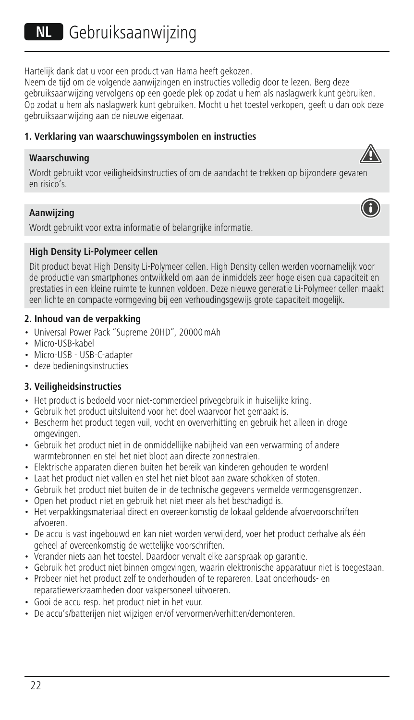Hartelijk dank dat u voor een product van Hama heeft gekozen.

Neem de tijd om de volgende aanwijzingen en instructies volledig door te lezen. Berg deze gebruiksaanwijzing vervolgens op een goede plek op zodat u hem als naslagwerk kunt gebruiken. Op zodat u hem als naslagwerk kunt gebruiken. Mocht u het toestel verkopen, geeft u dan ook deze gebruiksaanwijzing aan de nieuwe eigenaar.

# **1. Verklaring van waarschuwingssymbolen en instructies**

#### **Waarschuwing**

Wordt gebruikt voor veiligheidsinstructies of om de aandacht te trekken op bijzondere gevaren en risico's.

#### **Aanwijzing**

Wordt gebruikt voor extra informatie of belangrijke informatie.

#### **High Density Li-Polymeer cellen**

Dit product bevat High Density Li-Polymeer cellen. High Density cellen werden voornamelijk voor de productie van smartphones ontwikkeld om aan de inmiddels zeer hoge eisen qua capaciteit en prestaties in een kleine ruimte te kunnen voldoen. Deze nieuwe generatie Li-Polymeer cellen maakt een lichte en compacte vormgeving bij een verhoudingsgewijs grote capaciteit mogelijk.

#### **2. Inhoud van de verpakking**

- Universal Power Pack "Supreme 20HD", 20000mAh
- Micro-USB-kabel
- Micro-USB USB-C-adapter
- deze bedieningsinstructies

# **3. Veiligheidsinstructies**

- Het product is bedoeld voor niet-commercieel privegebruik in huiselijke kring.
- Gebruik het product uitsluitend voor het doel waarvoor het gemaakt is.
- Bescherm het product tegen vuil, vocht en oververhitting en gebruik het alleen in droge omgevingen.
- Gebruik het product niet in de onmiddellijke nabijheid van een verwarming of andere warmtebronnen en stel het niet bloot aan directe zonnestralen.
- Elektrische apparaten dienen buiten het bereik van kinderen gehouden te worden!
- Laat het product niet vallen en stel het niet bloot aan zware schokken of stoten.
- Gebruik het product niet buiten de in de technische gegevens vermelde vermogensgrenzen.
- Open het product niet en gebruik het niet meer als het beschadigd is.
- Het verpakkingsmateriaal direct en overeenkomstig de lokaal geldende afvoervoorschriften afvoeren.
- De accu is vast ingebouwd en kan niet worden verwijderd, voer het product derhalve als één geheel af overeenkomstig de wettelijke voorschriften.
- Verander niets aan het toestel. Daardoor vervalt elke aanspraak op garantie.
- Gebruik het product niet binnen omgevingen, waarin elektronische apparatuur niet is toegestaan.
- Probeer niet het product zelf te onderhouden of te repareren. Laat onderhouds- en reparatiewerkzaamheden door vakpersoneel uitvoeren.
- Gooi de accu resp. het product niet in het vuur.
- De accu's/batterijen niet wijzigen en/of vervormen/verhitten/demonteren.

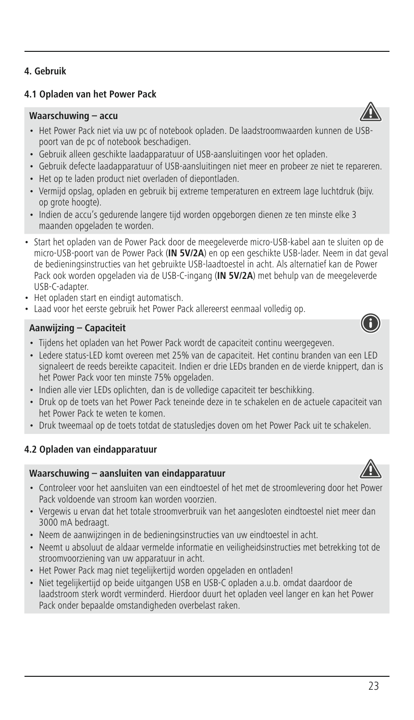# **4.1 Opladen van het Power Pack**

#### **Waarschuwing – accu**

- Het Power Pack niet via uw pc of notebook opladen. De laadstroomwaarden kunnen de USBpoort van de pc of notebook beschadigen.
- Gebruik alleen geschikte laadapparatuur of USB-aansluitingen voor het opladen.
- Gebruik defecte laadapparatuur of USB-aansluitingen niet meer en probeer ze niet te repareren.
- Het op te laden product niet overladen of diepontladen.
- Vermijd opslag, opladen en gebruik bij extreme temperaturen en extreem lage luchtdruk (bijv. op grote hoogte).
- Indien de accu's gedurende langere tijd worden opgeborgen dienen ze ten minste elke 3 maanden opgeladen te worden.
- Start het opladen van de Power Pack door de meegeleverde micro-USB-kabel aan te sluiten op de micro-USB-poort van de Power Pack (**IN 5V/2A**) en op een geschikte USB-lader. Neem in dat geval de bedieningsinstructies van het gebruikte USB-laadtoestel in acht. Als alternatief kan de Power Pack ook worden opgeladen via de USB-C-ingang (**IN 5V/2A**) met behulp van de meegeleverde USB-C-adapter.
- Het opladen start en eindigt automatisch.
- Laad voor het eerste gebruik het Power Pack allereerst eenmaal volledig op.

# **Aanwijzing – Capaciteit**

- Tijdens het opladen van het Power Pack wordt de capaciteit continu weergegeven.
- Ledere status-LED komt overeen met 25% van de capaciteit. Het continu branden van een LED signaleert de reeds bereikte capaciteit. Indien er drie LEDs branden en de vierde knippert, dan is het Power Pack voor ten minste 75% opgeladen.
- Indien alle vier LEDs oplichten, dan is de volledige capaciteit ter beschikking.
- Druk op de toets van het Power Pack teneinde deze in te schakelen en de actuele capaciteit van het Power Pack te weten te komen.
- Druk tweemaal op de toets totdat de statusledjes doven om het Power Pack uit te schakelen.

# **4.2 Opladen van eindapparatuur**

# **Waarschuwing – aansluiten van eindapparatuur**

- Controleer voor het aansluiten van een eindtoestel of het met de stroomlevering door het Power Pack voldoende van stroom kan worden voorzien.
- Vergewis u ervan dat het totale stroomverbruik van het aangesloten eindtoestel niet meer dan 3000 mA bedraagt.
- Neem de aanwijzingen in de bedieningsinstructies van uw eindtoestel in acht.
- Neemt u absoluut de aldaar vermelde informatie en veiligheidsinstructies met betrekking tot de stroomvoorziening van uw apparatuur in acht.
- Het Power Pack mag niet tegelijkertijd worden opgeladen en ontladen!
- Niet tegelijkertijd op beide uitgangen USB en USB-C opladen a.u.b. omdat daardoor de laadstroom sterk wordt verminderd. Hierdoor duurt het opladen veel langer en kan het Power Pack onder bepaalde omstandigheden overbelast raken.





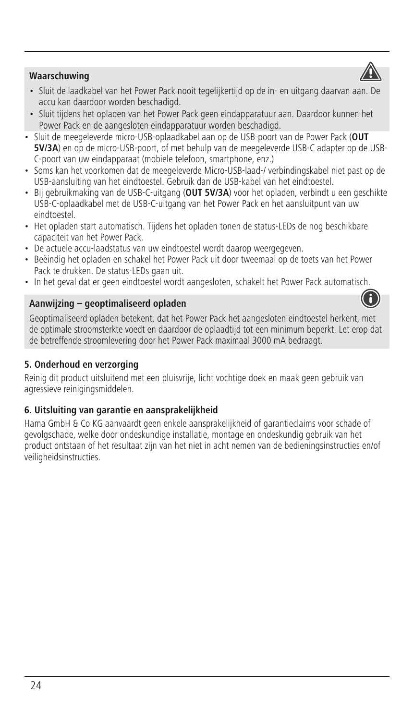# **Waarschuwing**

- Sluit de laadkabel van het Power Pack nooit tegelijkertijd op de in- en uitgang daarvan aan. De accu kan daardoor worden beschadigd.
- Sluit tijdens het opladen van het Power Pack geen eindapparatuur aan. Daardoor kunnen het Power Pack en de aangesloten eindapparatuur worden beschadigd.
- Sluit de meegeleverde micro-USB-oplaadkabel aan op de USB-poort van de Power Pack (**OUT 5V/3A**) en op de micro-USB-poort, of met behulp van de meegeleverde USB-C adapter op de USB-C-poort van uw eindapparaat (mobiele telefoon, smartphone, enz.)
- Soms kan het voorkomen dat de meegeleverde Micro-USB-laad-/ verbindingskabel niet past op de USB-aansluiting van het eindtoestel. Gebruik dan de USB-kabel van het eindtoestel.
- Bij gebruikmaking van de USB-C-uitgang (**OUT 5V/3A**) voor het opladen, verbindt u een geschikte USB-C-oplaadkabel met de USB-C-uitgang van het Power Pack en het aansluitpunt van uw eindtoestel.
- Het opladen start automatisch. Tijdens het opladen tonen de status-LEDs de nog beschikbare capaciteit van het Power Pack.
- De actuele accu-laadstatus van uw eindtoestel wordt daarop weergegeven.
- Beëindig het opladen en schakel het Power Pack uit door tweemaal op de toets van het Power Pack te drukken. De status-LEDs gaan uit.
- In het geval dat er geen eindtoestel wordt aangesloten, schakelt het Power Pack automatisch.

# **Aanwijzing – geoptimaliseerd opladen**

Geoptimaliseerd opladen betekent, dat het Power Pack het aangesloten eindtoestel herkent, met de optimale stroomsterkte voedt en daardoor de oplaadtijd tot een minimum beperkt. Let erop dat de betreffende stroomlevering door het Power Pack maximaal 3000 mA bedraagt.

# **5. Onderhoud en verzorging**

Reinig dit product uitsluitend met een pluisvrije, licht vochtige doek en maak geen gebruik van agressieve reinigingsmiddelen.

# **6. Uitsluiting van garantie en aansprakelijkheid**

Hama GmbH & Co KG aanvaardt geen enkele aansprakelijkheid of garantieclaims voor schade of gevolgschade, welke door ondeskundige installatie, montage en ondeskundig gebruik van het product ontstaan of het resultaat zijn van het niet in acht nemen van de bedieningsinstructies en/of veiligheidsinstructies.



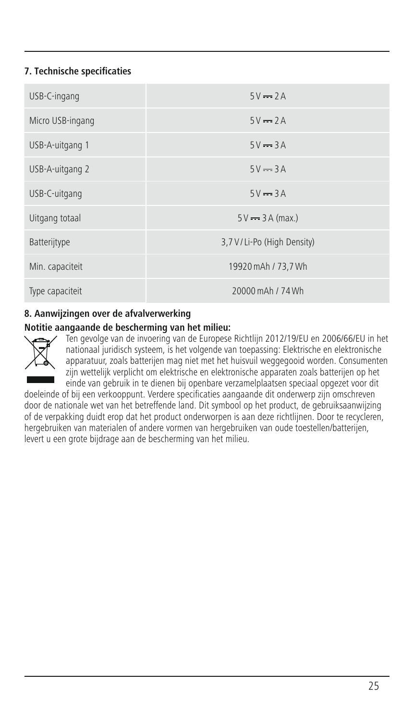# **7. Technische specificaties**

| USB-C-ingang     | $5V = 2A$                    |
|------------------|------------------------------|
| Micro USB-ingang | $5V = 2A$                    |
| USB-A-uitgang 1  | $5V = 3A$                    |
| USB-A-uitgang 2  | $5V = 3A$                    |
| USB-C-uitgang    | $5V = 3A$                    |
| Uitgang totaal   | $5V = 3A (max.)$             |
| Batterijtype     | 3,7 V / Li-Po (High Density) |
| Min. capaciteit  | 19920 mAh / 73.7 Wh          |
| Type capaciteit  | 20000 mAh / 74 Wh            |

# **8. Aanwijzingen over de afvalverwerking**

#### **Notitie aangaande de bescherming van het milieu:**



Ten gevolge van de invoering van de Europese Richtlijn 2012/19/EU en 2006/66/EU in het nationaal juridisch systeem, is het volgende van toepassing: Elektrische en elektronische apparatuur, zoals batterijen mag niet met het huisvuil weggegooid worden. Consumenten zijn wettelijk verplicht om elektrische en elektronische apparaten zoals batterijen op het einde van gebruik in te dienen bij openbare verzamelplaatsen speciaal opgezet voor dit

doeleinde of bij een verkooppunt. Verdere specificaties aangaande dit onderwerp zijn omschreven door de nationale wet van het betreffende land. Dit symbool op het product, de gebruiksaanwijzing of de verpakking duidt erop dat het product onderworpen is aan deze richtlijnen. Door te recycleren, hergebruiken van materialen of andere vormen van hergebruiken van oude toestellen/batterijen, levert u een grote bijdrage aan de bescherming van het milieu.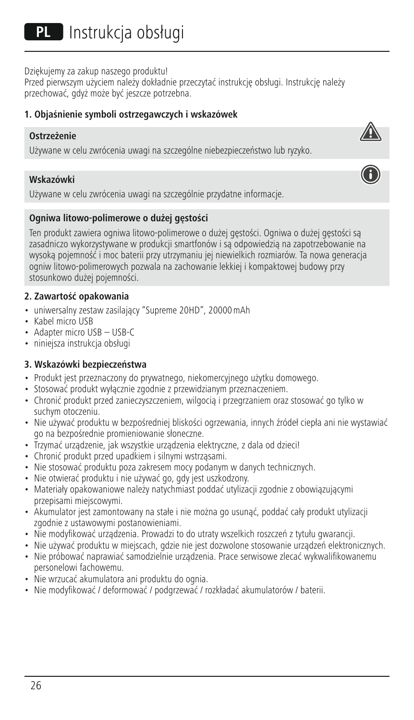Dziękujemy za zakup naszego produktu!

Przed pierwszym użyciem należy dokładnie przeczytać instrukcję obsługi. Instrukcję należy przechować, gdyż może być jeszcze potrzebna.

#### **1. Objaśnienie symboli ostrzegawczych i wskazówek**

#### **Ostrzeżenie**

Używane w celu zwrócenia uwagi na szczególne niebezpieczeństwo lub ryzyko.

#### **Wskazówki**

Używane w celu zwrócenia uwagi na szczególnie przydatne informacje.

#### **Ogniwa litowo-polimerowe o dużej gęstości**

Ten produkt zawiera ogniwa litowo-polimerowe o dużej gęstości. Ogniwa o dużej gęstości są zasadniczo wykorzystywane w produkcji smartfonów i są odpowiedzią na zapotrzebowanie na wysoką pojemność i moc baterii przy utrzymaniu jej niewielkich rozmiarów. Ta nowa generacja ogniw litowo-polimerowych pozwala na zachowanie lekkiej i kompaktowej budowy przy stosunkowo dużej pojemności.

#### **2. Zawartość opakowania**

- uniwersalny zestaw zasilający "Supreme 20HD", 20000mAh
- Kabel micro USB
- Adapter micro USB USB-C
- niniejsza instrukcja obsługi

#### **3. Wskazówki bezpieczeństwa**

- Produkt jest przeznaczony do prywatnego, niekomercyjnego użytku domowego.
- Stosować produkt wyłącznie zgodnie z przewidzianym przeznaczeniem.
- Chronić produkt przed zanieczyszczeniem, wilgocią i przegrzaniem oraz stosować go tylko w suchym otoczeniu.
- Nie używać produktu w bezpośredniej bliskości ogrzewania, innych źródeł ciepła ani nie wystawiać go na bezpośrednie promieniowanie słoneczne.
- Trzymać urządzenie, jak wszystkie urządzenia elektryczne, z dala od dzieci!
- Chronić produkt przed upadkiem i silnymi wstrząsami.
- Nie stosować produktu poza zakresem mocy podanym w danych technicznych.
- Nie otwierać produktu i nie używać go, gdy jest uszkodzony.
- Materiały opakowaniowe należy natychmiast poddać utylizacji zgodnie z obowiązującymi przepisami miejscowymi.
- Akumulator jest zamontowany na stałe i nie można go usunąć, poddać cały produkt utylizacji zgodnie z ustawowymi postanowieniami.
- Nie modyfikować urządzenia. Prowadzi to do utraty wszelkich roszczeń z tytułu gwarancji.
- Nie używać produktu w miejscach, gdzie nie jest dozwolone stosowanie urządzeń elektronicznych.
- Nie próbować naprawiać samodzielnie urządzenia. Prace serwisowe zlecać wykwalifikowanemu personelowi fachowemu.
- Nie wrzucać akumulatora ani produktu do ognia.
- Nie modyfikować / deformować / podgrzewać / rozkładać akumulatorów / baterii.

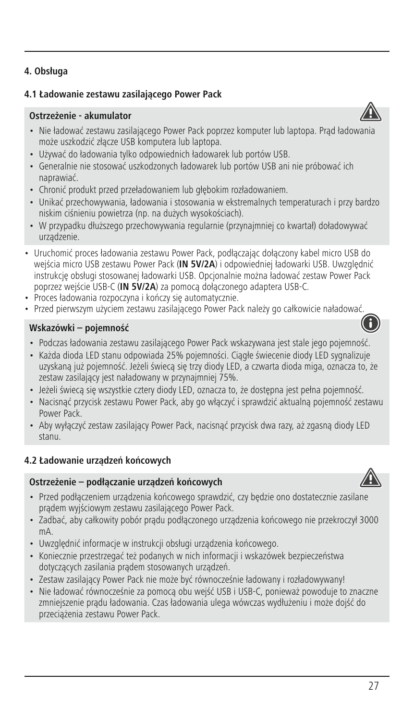# **4. Obsługa**

# **4.1 Ładowanie zestawu zasilającego Power Pack**

# **Ostrzeżenie - akumulator**

- Nie ładować zestawu zasilającego Power Pack poprzez komputer lub laptopa. Prąd ładowania może uszkodzić złącze USB komputera lub laptopa.
- Używać do ładowania tylko odpowiednich ładowarek lub portów USB.
- Generalnie nie stosować uszkodzonych ładowarek lub portów USB ani nie próbować ich naprawiać.
- Chronić produkt przed przeładowaniem lub głębokim rozładowaniem.
- Unikać przechowywania, ładowania i stosowania w ekstremalnych temperaturach i przy bardzo niskim ciśnieniu powietrza (np. na dużych wysokościach).
- W przypadku dłuższego przechowywania regularnie (przynajmniej co kwartał) doładowywać urządzenie.
- Uruchomić proces ładowania zestawu Power Pack, podłączając dołączony kabel micro USB do wejścia micro USB zestawu Power Pack (IN 5V/2A) i odpowiedniej ładowarki USB. Uwzględnić instrukcję obsługi stosowanej ładowarki USB. Opcjonalnie można ładować zestaw Power Pack poprzez wejście USB-C (**IN 5V/2A**) za pomocą dołączonego adaptera USB-C.
- Proces ładowania rozpoczyna i kończy się automatycznie.
- Przed pierwszym użyciem zestawu zasilającego Power Pack należy go całkowicie naładować.

#### **Wskazówki – pojemność**

- Podczas ładowania zestawu zasilającego Power Pack wskazywana jest stale jego pojemność.
- Każda dioda LED stanu odpowiada 25% pojemności. Ciągłe świecenie diody LED sygnalizuje uzyskaną już pojemność. Jeżeli świecą się trzy diody LED, a czwarta dioda miga, oznacza to, że zestaw zasilający jest naładowany w przynajmniej 75%.
- Jeżeli świecą się wszystkie cztery diody LED, oznacza to, że dostępna jest pełna pojemność.
- Nacisnąć przycisk zestawu Power Pack, aby go włączyć i sprawdzić aktualną pojemność zestawu Power Pack.
- Aby wyłączyć zestaw zasilający Power Pack, nacisnąć przycisk dwa razy, aż zgasną diody LED stanu.

# **4.2 Ładowanie urządzeń końcowych**

#### **Ostrzeżenie – podłączanie urządzeń końcowych**



- Przed podłączeniem urządzenia końcowego sprawdzić, czy będzie ono dostatecznie zasilane prądem wyjściowym zestawu zasilającego Power Pack.
- Zadbać, aby całkowity pobór prądu podłączonego urządzenia końcowego nie przekroczył 3000 mA.
- Uwzględnić informacje w instrukcji obsługi urządzenia końcowego.
- Koniecznie przestrzegać też podanych w nich informacji i wskazówek bezpieczeństwa dotyczących zasilania prądem stosowanych urządzeń.
- Zestaw zasilający Power Pack nie może być równocześnie ładowany i rozładowywany!
- Nie ładować równocześnie za pomocą obu wejść USB i USB-C, ponieważ powoduje to znaczne zmniejszenie prądu ładowania. Czas ładowania ulega wówczas wydłużeniu i może dojść do przeciążenia zestawu Power Pack.

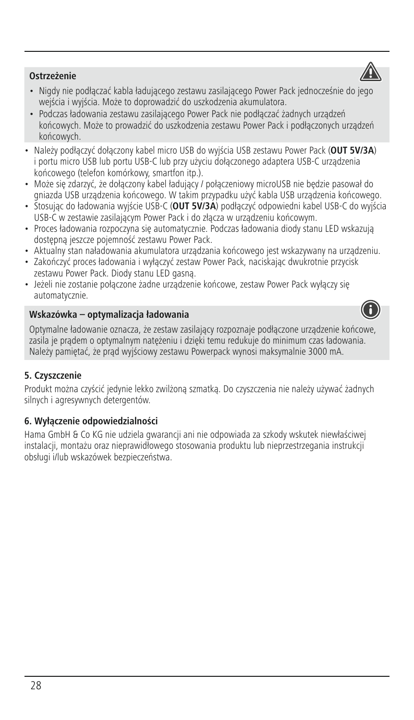## **Ostrzeżenie**

- Nigdy nie podłączać kabla ładującego zestawu zasilającego Power Pack jednocześnie do jego wejścia i wyjścia. Może to doprowadzić do uszkodzenia akumulatora.
- Podczas ładowania zestawu zasilającego Power Pack nie podłączać żadnych urządzeń końcowych. Może to prowadzić do uszkodzenia zestawu Power Pack i podłączonych urządzeń końcowych.
- Należy podłączyć dołączony kabel micro USB do wyjścia USB zestawu Power Pack (**OUT 5V/3A**) i portu micro USB lub portu USB-C lub przy użyciu dołączonego adaptera USB-C urządzenia końcowego (telefon komórkowy, smartfon itp.).
- Może się zdarzyć, że dołączony kabel ładujący / połączeniowy microUSB nie będzie pasował do gniazda USB urządzenia końcowego. W takim przypadku użyć kabla USB urządzenia końcowego.
- Stosując do ładowania wyjście USB-C (**OUT 5V/3A**) podłączyć odpowiedni kabel USB-C do wyjścia USB-C w zestawie zasilającym Power Pack i do złącza w urządzeniu końcowym.
- Proces ładowania rozpoczyna się automatycznie. Podczas ładowania diody stanu LED wskazują dostępną jeszcze pojemność zestawu Power Pack.
- Aktualny stan naładowania akumulatora urządzania końcowego jest wskazywany na urządzeniu.
- Zakończyć proces ładowania i wyłączyć zestaw Power Pack, naciskając dwukrotnie przycisk zestawu Power Pack. Diody stanu LED gasną.
- Jeżeli nie zostanie połączone żadne urządzenie końcowe, zestaw Power Pack wyłączy się automatycznie.

# **Wskazówka – optymalizacja ładowania**

Optymalne ładowanie oznacza, że zestaw zasilający rozpoznaje podłączone urządzenie końcowe, zasila je prądem o optymalnym natężeniu i dzięki temu redukuje do minimum czas ładowania. Należy pamiętać, że prąd wyjściowy zestawu Powerpack wynosi maksymalnie 3000 mA.

# **5. Czyszczenie**

Produkt można czyścić jedynie lekko zwilżoną szmatką. Do czyszczenia nie należy używać żadnych silnych i agresywnych detergentów.

# **6. Wyłączenie odpowiedzialności**

Hama GmbH & Co KG nie udziela gwarancji ani nie odpowiada za szkody wskutek niewłaściwej instalacji, montażu oraz nieprawidłowego stosowania produktu lub nieprzestrzegania instrukcji obsługi i/lub wskazówek bezpieczeństwa.





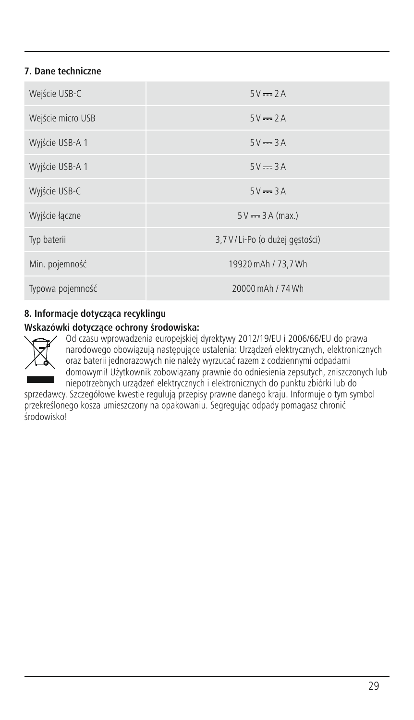# **7. Dane techniczne**

| Wejście USB-C     | $5V = 2A$                        |
|-------------------|----------------------------------|
| Wejście micro USB | $5V = 2A$                        |
| Wyjście USB-A 1   | $5V = 3A$                        |
| Wyjście USB-A 1   | $5V = 3A$                        |
| Wyjście USB-C     | $5V = 3A$                        |
| Wyjście łączne    | $5V = 3A (max.)$                 |
| Typ baterii       | 3,7 V / Li-Po (o dużej gęstości) |
| Min. pojemność    | 19920 mAh / 73,7 Wh              |
| Typowa pojemność  | 20000 mAh / 74 Wh                |

# **8. Informacje dotycząca recyklingu**

# **Wskazówki dotyczące ochrony środowiska:**



Od czasu wprowadzenia europejskiej dyrektywy 2012/19/EU i 2006/66/EU do prawa narodowego obowiązują następujące ustalenia: Urządzeń elektrycznych, elektronicznych oraz baterii jednorazowych nie należy wyrzucać razem z codziennymi odpadami domowymi! Użytkownik zobowiązany prawnie do odniesienia zepsutych, zniszczonych lub niepotrzebnych urządzeń elektrycznych i elektronicznych do punktu zbiórki lub do

sprzedawcy. Szczegółowe kwestie regulują przepisy prawne danego kraju. Informuje o tym symbol przekreślonego kosza umieszczony na opakowaniu. Segregując odpady pomagasz chronić środowisko!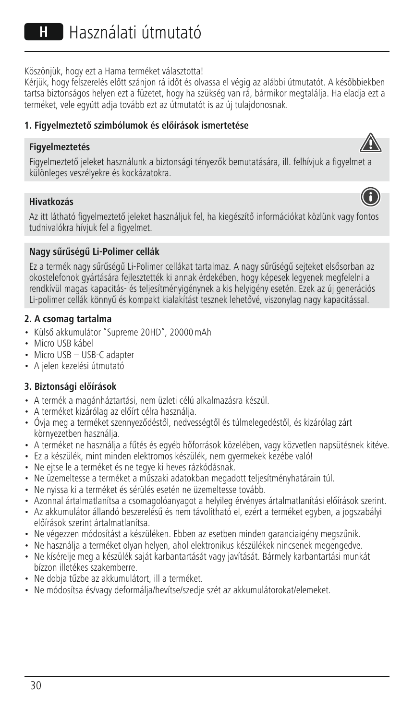Köszönjük, hogy ezt a Hama terméket választotta!

Kérjük, hogy felszerelés előtt szánjon rá időt és olvassa el végig az alábbi útmutatót. A későbbiekben tartsa biztonságos helyen ezt a füzetet, hogy ha szükség van rá, bármikor megtalálja. Ha eladja ezt a terméket, vele együtt adja tovább ezt az útmutatót is az új tulajdonosnak.

# **1. Figyelmeztető szimbólumok és előírások ismertetése**

#### **Figyelmeztetés**

Figyelmeztető jeleket használunk a biztonsági tényezők bemutatására, ill. felhívjuk a figyelmet a különleges veszélyekre és kockázatokra.

#### **Hivatkozás**

Az itt látható figyelmeztető jeleket használjuk fel, ha kiegészítő információkat közlünk vagy fontos tudnivalókra hívjuk fel a figyelmet.

#### **Nagy sűrűségű Li-Polimer cellák**

Ez a termék nagy sűrűségű Li-Polimer cellákat tartalmaz. A nagy sűrűségű sejteket elsősorban az okostelefonok gyártására fejlesztették ki annak érdekében, hogy képesek legyenek megfelelni a rendkívül magas kapacitás- és teljesítményigénynek a kis helyigény esetén. Ezek az új generációs Li-polimer cellák könnyű és kompakt kialakítást tesznek lehetővé, viszonylag nagy kapacitással.

#### **2. A csomag tartalma**

- Külső akkumulátor "Supreme 20HD", 20000mAh
- Micro USB kábel
- Micro USB USB-C adapter
- A jelen kezelési útmutató

#### **3. Biztonsági előírások**

- A termék a magánháztartási, nem üzleti célú alkalmazásra készül.
- A terméket kizárólag az előírt célra használja.
- Óvja meg a terméket szennyeződéstől, nedvességtől és túlmelegedéstől, és kizárólag zárt környezetben használja.
- A terméket ne használja a fűtés és egyéb hőforrások közelében, vagy közvetlen napsütésnek kitéve.
- Ez a készülék, mint minden elektromos készülék, nem gyermekek kezébe való!
- Ne ejtse le a terméket és ne tegye ki heves rázkódásnak.
- Ne üzemeltesse a terméket a műszaki adatokban megadott teljesítményhatárain túl.
- Ne nyissa ki a terméket és sérülés esetén ne üzemeltesse tovább.
- Azonnal ártalmatlanítsa a csomagolóanyagot a helyileg érvényes ártalmatlanítási előírások szerint.
- Az akkumulátor állandó beszerelésű és nem távolítható el, ezért a terméket egyben, a jogszabályi előírások szerint ártalmatlanítsa.
- Ne végezzen módosítást a készüléken. Ebben az esetben minden garanciaigény megszűnik.
- Ne használja a terméket olyan helyen, ahol elektronikus készülékek nincsenek megengedve.
- Ne kísérelje meg a készülék saját karbantartását vagy javítását. Bármely karbantartási munkát bízzon illetékes szakemberre.
- Ne dobja tűzbe az akkumulátort, ill a terméket.
- Ne módosítsa és/vagy deformálja/hevítse/szedje szét az akkumulátorokat/elemeket.



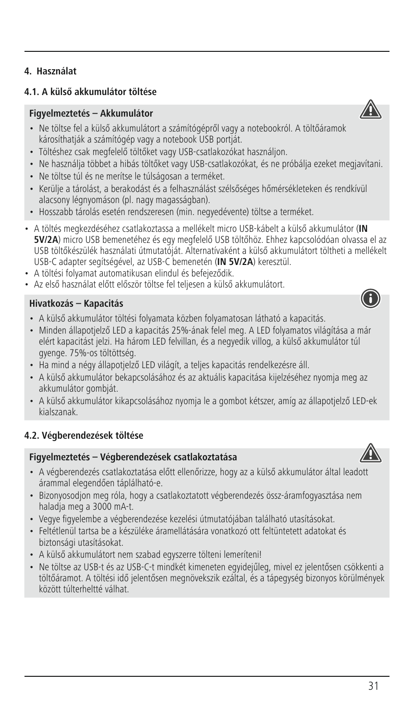# **4.1. A külső akkumulátor töltése**

# **Figyelmeztetés – Akkumulátor**

- Ne töltse fel a külső akkumulátort a számítógépről vagy a notebookról. A töltőáramok károsíthatják a számítógép vagy a notebook USB portját.
- Töltéshez csak megfelelő töltőket vagy USB-csatlakozókat használjon.
- Ne használja többet a hibás töltőket vagy USB-csatlakozókat, és ne próbálja ezeket megjavítani.
- Ne töltse túl és ne merítse le túlságosan a terméket.
- Kerülje a tárolást, a berakodást és a felhasználást szélsőséges hőmérsékleteken és rendkívül alacsony légnyomáson (pl. nagy magasságban).
- Hosszabb tárolás esetén rendszeresen (min. negyedévente) töltse a terméket.
- A töltés megkezdéséhez csatlakoztassa a mellékelt micro USB-kábelt a külső akkumulátor (**IN 5V/2A**) micro USB bemenetéhez és egy megfelelő USB töltőhöz. Ehhez kapcsolódóan olvassa el az USB töltőkészülék használati útmutatóját. Alternatívaként a külső akkumulátort töltheti a mellékelt USB-C adapter segítségével, az USB-C bemenetén (**IN 5V/2A**) keresztül.
- A töltési folyamat automatikusan elindul és befejeződik.
- Az első használat előtt először töltse fel teliesen a külső akkumulátort.

#### **Hivatkozás – Kapacitás**

- A külső akkumulátor töltési folyamata közben folyamatosan látható a kapacitás.
- Minden állapotjelző LED a kapacitás 25%-ának felel meg. A LED folyamatos világítása a már elért kapacitást jelzi. Ha három LED felvillan, és a negyedik villog, a külső akkumulátor túl gyenge. 75%-os töltöttség.
- Ha mind a négy állapotjelző LED világít, a teljes kapacitás rendelkezésre áll.
- A külső akkumulátor bekapcsolásához és az aktuális kapacitása kijelzéséhez nyomja meg az akkumulátor gombját.
- A külső akkumulátor kikapcsolásához nyomja le a gombot kétszer, amíg az állapotjelző LED-ek kialszanak.

# **4.2. Végberendezések töltése**

#### **Figyelmeztetés – Végberendezések csatlakoztatása**

- A végberendezés csatlakoztatása előtt ellenőrizze, hogy az a külső akkumulátor által leadott árammal elegendően táplálható-e.
- Bizonyosodjon meg róla, hogy a csatlakoztatott végberendezés össz-áramfogyasztása nem haladja meg a 3000 mA-t.
- Vegye figyelembe a végberendezése kezelési útmutatójában található utasításokat.
- Feltétlenül tartsa be a készüléke áramellátására vonatkozó ott feltüntetett adatokat és biztonsági utasításokat.
- A külső akkumulátort nem szabad egyszerre tölteni lemeríteni!
- Ne töltse az USB-t és az USB-C-t mindkét kimeneten egyidejűleg, mivel ez jelentősen csökkenti a töltőáramot. A töltési idő jelentősen megnövekszik ezáltal, és a tápegység bizonyos körülmények között túlterheltté válhat.





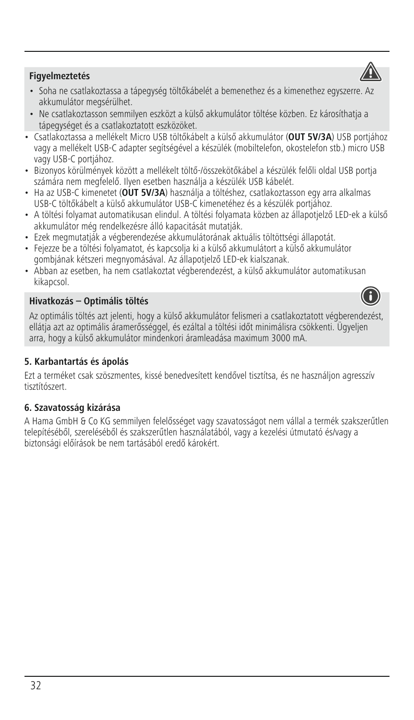

# **Figyelmeztetés**

- Soha ne csatlakoztassa a tápegység töltőkábelét a bemenethez és a kimenethez egyszerre. Az akkumulátor megsérülhet.
- Ne csatlakoztasson semmilyen eszközt a külső akkumulátor töltése közben. Ez károsíthatja a tápegységet és a csatlakoztatott eszközöket.
- Csatlakoztassa a mellékelt Micro USB töltőkábelt a külső akkumulátor (**OUT 5V/3A**) USB portjához vagy a mellékelt USB-C adapter segítségével a készülék (mobiltelefon, okostelefon stb.) micro USB vagy USB-C portjához.
- Bizonyos körülmények között a mellékelt töltő-/összekötőkábel a készülék felőli oldal USB portja számára nem megfelelő. Ilyen esetben használja a készülék USB kábelét.
- Ha az USB-C kimenetet (**OUT 5V/3A**) használja a töltéshez, csatlakoztasson egy arra alkalmas USB-C töltőkábelt a külső akkumulátor USB-C kimenetéhez és a készülék portjához.
- A töltési folyamat automatikusan elindul. A töltési folyamata közben az állapotjelző LED-ek a külső akkumulátor még rendelkezésre álló kapacitását mutatják.
- Ezek megmutatják a végberendezése akkumulátorának aktuális töltöttségi állapotát.
- Fejezze be a töltési folyamatot, és kapcsolja ki a külső akkumulátort a külső akkumulátor gombjának kétszeri megnyomásával. Az állapotjelző LED-ek kialszanak.
- Abban az esetben, ha nem csatlakoztat végberendezést, a külső akkumulátor automatikusan kikapcsol.

# **Hivatkozás – Optimális töltés**

Az optimális töltés azt jelenti, hogy a külső akkumulátor felismeri a csatlakoztatott végberendezést, ellátja azt az optimális áramerősséggel, és ezáltal a töltési időt minimálisra csökkenti. Ügyeljen arra, hogy a külső akkumulátor mindenkori áramleadása maximum 3000 mA.

# **5. Karbantartás és ápolás**

Ezt a terméket csak szöszmentes, kissé benedvesített kendővel tisztítsa, és ne használjon agresszív tisztítószert.

#### **6. Szavatosság kizárása**

A Hama GmbH & Co KG semmilyen felelősséget vagy szavatosságot nem vállal a termék szakszerűtlen telepítéséből, szereléséből és szakszerűtlen használatából, vagy a kezelési útmutató és/vagy a biztonsági előírások be nem tartásából eredő károkért.

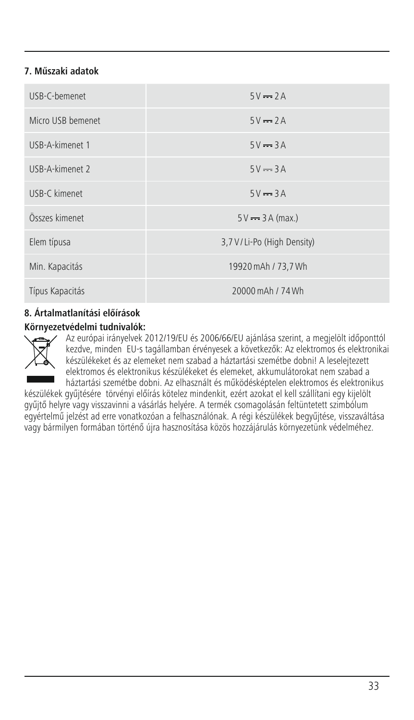# **7. Műszaki adatok**

| USB-C-hemenet     | $5V = 2A$                    |
|-------------------|------------------------------|
| Micro USB bemenet | $5V = 2A$                    |
| USB-A-kimenet 1   | $5V = 3A$                    |
| USB-A-kimenet 2   | $5V = 3A$                    |
| USB-C kimenet     | $5V = 3A$                    |
| Összes kimenet    | $5V \rightarrow 3A$ (max.)   |
| Elem típusa       | 3,7 V / Li-Po (High Density) |
| Min. Kapacitás    | 19920 mAh / 73.7 Wh          |
| Típus Kapacitás   | 20000 mAh / 74 Wh            |

# **8. Ártalmatlanítási előírások**

#### **Környezetvédelmi tudnivalók:**



Az európai irányelvek 2012/19/EU és 2006/66/EU ajánlása szerint, a megjelölt időponttól kezdve, minden EU-s tagállamban érvényesek a következők: Az elektromos és elektronikai készülékeket és az elemeket nem szabad a háztartási szemétbe dobni! A leselejtezett elektromos és elektronikus készülékeket és elemeket, akkumulátorokat nem szabad a háztartási szemétbe dobni. Az elhasznált és működésképtelen elektromos és elektronikus

készülékek gyűjtésére törvényi előírás kötelez mindenkit, ezért azokat el kell szállítani egy kijelölt gyűjtő helyre vagy visszavinni a vásárlás helyére. A termék csomagolásán feltüntetett szimbólum egyértelmű jelzést ad erre vonatkozóan a felhasználónak. A régi készülékek begyűjtése, visszaváltása vagy bármilyen formában történő újra hasznosítása közös hozzájárulás környezetünk védelméhez.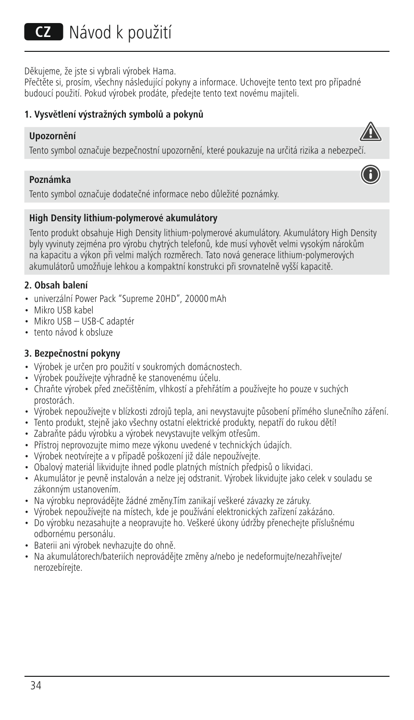# **CZ** Návod k použití

Děkujeme, že jste si vybrali výrobek Hama.

Přečtěte si, prosím, všechny následující pokyny a informace. Uchovejte tento text pro případné budoucí použití. Pokud výrobek prodáte, předejte tento text novému majiteli.

#### **1. Vysvětlení výstražných symbolů a pokynů**

#### **Upozornění**

Tento symbol označuje bezpečnostní upozornění, které poukazuje na určitá rizika a nebezpeč

#### **Poznámka**



Tento symbol označuje dodatečné informace nebo důležité poznámky.

#### **High Density lithium-polymerové akumulátory**

Tento produkt obsahuje High Density lithium-polymerové akumulátory. Akumulátory High Density byly vyvinuty zejména pro výrobu chytrých telefonů, kde musí vyhovět velmi vysokým nárokům na kapacitu a výkon při velmi malých rozměrech. Tato nová generace lithium-polymerových akumulátorů umožňuje lehkou a kompaktní konstrukci při srovnatelně vyšší kapacitě.

#### **2. Obsah balení**

- univerzální Power Pack "Supreme 20HD", 20000mAh
- Mikro USB kabel
- Mikro USB USB-C adaptér
- tento návod k obsluze

#### **3. Bezpečnostní pokyny**

- Výrobek je určen pro použití v soukromých domácnostech.
- Výrobek používejte výhradně ke stanovenému účelu.
- Chraňte výrobek před znečištěním, vlhkostí a přehřátím a používejte ho pouze v suchých prostorách.
- Výrobek nepoužívejte v blízkosti zdrojů tepla, ani nevystavujte působení přímého slunečního záření.
- Tento produkt, stejně jako všechny ostatní elektrické produkty, nepatří do rukou dětí!
- Zabraňte pádu výrobku a výrobek nevystavujte velkým otřesům.
- Přístroj neprovozujte mimo meze výkonu uvedené v technických údajích.
- Výrobek neotvírejte avpřípadě poškození již dále nepoužívejte.
- Obalový materiál likvidujte ihned podle platných místních předpisů o likvidaci.
- Akumulátor je pevně instalován a nelze jej odstranit. Výrobek likvidujte jako celek v souladu se zákonným ustanovením.
- Na výrobku neprovádějte žádné změny.Tím zanikají veškeré závazky ze záruky.
- Výrobek nepoužívejte na místech, kde je používání elektronických zařízení zakázáno.
- Do výrobku nezasahujte a neopravujte ho. Veškeré úkony údržby přenechejte příslušnému odbornému personálu.
- Baterii ani výrobek nevhazujte do ohně.
- Na akumulátorech/bateriích neprovádějte změny a/nebo je nedeformujte/nezahřívejte/ nerozebíreite.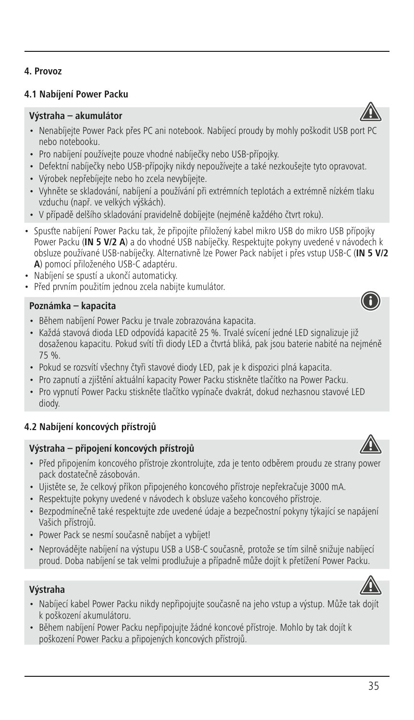# **4.1 Nabíjení Power Packu**

#### **Výstraha – akumulátor**

- Nenabíjejte Power Pack přes PC ani notebook. Nabíjecí proudy by mohly poškodit USB port PC nebo notebooku.
- Pro nabíjení používejte pouze vhodné nabíječky nebo USB-přípojky.
- Defektní nabíječky nebo USB-přípojky nikdy nepoužívejte a také nezkoušejte tyto opravovat.
- Výrobek nepřebíjejte nebo ho zcela nevybíjejte.
- Vyhněte se skladování, nabíjení a používání při extrémních teplotách a extrémně nízkém tlaku vzduchu (např. ve velkých výškách).
- V případě delšího skladování pravidelně dobíjejte (nejméně každého čtvrt roku).
- Spusťte nabíjení Power Packu tak, že připojíte přiložený kabel mikro USB do mikro USB přípojky Power Packu (IN 5 V/2 A) a do vhodné USB nabíječky. Respektujte pokyny uvedené v návodech k obsluze používané USB-nabíječky. Alternativně lze Power Pack nabíjet i přes vstup USB-C (**IN 5 V/2 A**) pomocí přiloženého USB-C adaptéru.
- Nabíjení se spustí a ukončí automaticky.
- Před prvním použitím jednou zcela nabijte kumulátor.

#### **Poznámka – kapacita**

- Během nabíjení Power Packu je trvale zobrazována kapacita.
- Každá stavová dioda LED odpovídá kapacitě 25 %. Trvalé svícení jedné LED signalizuje již dosaženou kapacitu. Pokud svítí tři diody LED a čtvrtá bliká, pak jsou baterie nabité na nejméně 75 %.
- Pokud se rozsvítí všechny čtyři stavové diody LED, pak je k dispozici plná kapacita.
- Pro zapnutí a zjištění aktuální kapacity Power Packu stiskněte tlačítko na Power Packu.
- Pro vypnutí Power Packu stiskněte tlačítko vypínače dvakrát, dokud nezhasnou stavové LED diody.

# **4.2 Nabíjení koncových přístrojů**

#### **Výstraha – připojení koncových přístrojů**

- Před připojením koncového přístroje zkontrolujte, zda je tento odběrem proudu ze strany power pack dostatečně zásobován.
- Ujistěte se, že celkový příkon připojeného koncového přístroje nepřekračuje 3000 mA.
- Respektujte pokyny uvedené v návodech k obsluze vašeho koncového přístroje.
- Bezpodmínečně také respektujte zde uvedené údaje a bezpečnostní pokyny týkající se napájení Vašich přístrojů.
- Power Pack se nesmí současně nabíjet a vybíjet!
- Neprovádějte nabíjení na výstupu USB a USB-C současně, protože se tím silně snižuje nabíjecí proud. Doba nabíjení se tak velmi prodlužuje a případně může dojít k přetížení Power Packu.

# **Výstraha**

- Nabíjecí kabel Power Packu nikdy nepřipojujte současně na jeho vstup a výstup. Může tak dojít k poškození akumulátoru.
- Během nabíjení Power Packu nepřipojujte žádné koncové přístroje. Mohlo by tak dojít k poškození Power Packu a připojených koncových přístrojů.







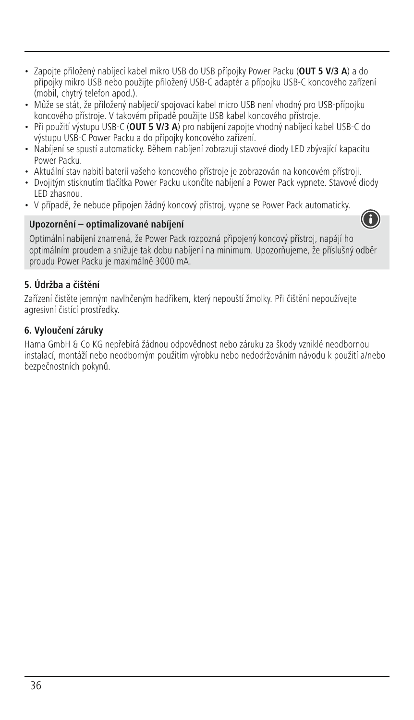- Zapojte přiložený nabíjecí kabel mikro USB do USB přípojky Power Packu (**OUT 5 V/3 A**)ado přípojky mikro USB nebo použijte přiložený USB-C adaptér a přípojku USB-C koncového zařízení (mobil, chytrý telefon apod.).
- Může se stát, že přiložený nabíjecí/ spojovací kabel micro USB není vhodný pro USB-přípojku koncového přístroje. V takovém případě použijte USB kabel koncového přístroje.
- Při použití výstupu USB-C (**OUT 5 V/3 A**) pro nabíjení zapojte vhodný nabíjecí kabel USB-C do výstupu USB-C Power Packu a do přípojky koncového zařízení.
- Nabíjení se spustí automaticky. Během nabíjení zobrazují stavové diody LED zbývající kapacitu Power Packu.
- Aktuální stav nabití baterií vašeho koncového přístroje je zobrazován na koncovém přístroji.
- Dvojitým stisknutím tlačítka Power Packu ukončíte nabíjení a Power Pack vypnete. Stavové diody LED zhasnou.
- V případě, že nebude připojen žádný koncový přístroj, vypne se Power Pack automaticky.

# **Upozornění – optimalizované nabíjení**



Optimální nabíjení znamená, že Power Pack rozpozná připojený koncový přístroj, napájí ho optimálním proudem a snižuje tak dobu nabíjení na minimum. Upozorňujeme, že příslušný odběr proudu Power Packu je maximálně 3000 mA.

# **5. Údržba a čištění**

Zařízení čistěte jemným navlhčeným hadříkem, který nepouští žmolky. Při čištění nepoužívejte agresivní čistící prostředky.

# **6. Vyloučení záruky**

Hama GmbH & Co KG nepřebírá žádnou odpovědnost nebo záruku za škody vzniklé neodbornou instalací, montáží nebo neodborným použitím výrobku nebo nedodržováním návodu k použití a/nebo bezpečnostních pokynů.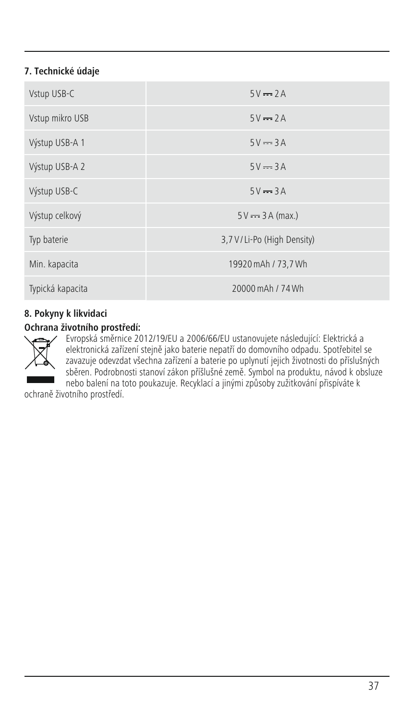# **7. Technické údaje**

| Vstup USB-C      | $5V = 2A$                    |
|------------------|------------------------------|
| Vstup mikro USB  | $5V = 2A$                    |
| Výstup USB-A 1   | $5V = 3A$                    |
| Výstup USB-A 2   | $5V = 3A$                    |
| Výstup USB-C     | $5V = 3A$                    |
| Výstup celkový   | $5V \rightarrow 3A$ (max.)   |
| Typ baterie      | 3,7 V / Li-Po (High Density) |
| Min. kapacita    | 19920 mAh / 73,7 Wh          |
| Typická kapacita | 20000 mAh / 74 Wh            |

# **8. Pokyny k likvidaci**

# **Ochrana životního prostředí:**



Evropská směrnice 2012/19/EU a 2006/66/EU ustanovujete následující: Elektrická a elektronická zařízení stejně jako baterie nepatří do domovního odpadu. Spotřebitel se zavazuje odevzdat všechna zařízení a baterie po uplynutí jejich životnosti do příslušných sběren. Podrobnosti stanoví zákon příšlušné země. Symbol na produktu, návod k obsluze nebo balení na toto poukazuje. Recyklací a jinými způsoby zužitkování přispíváte k

ochraně životního prostředí.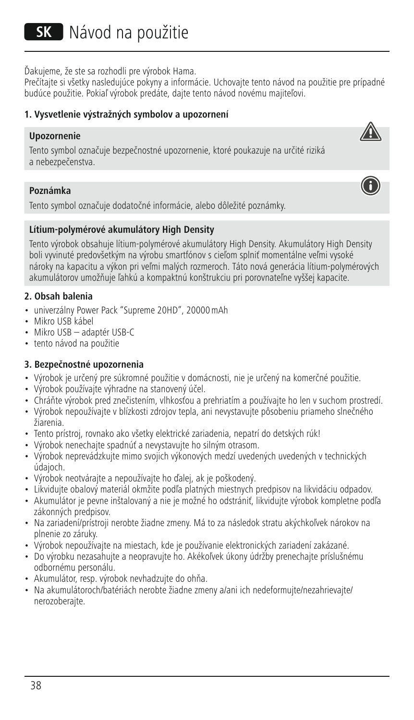Ďakujeme, že ste sa rozhodli pre výrobok Hama.

Prečítajte si všetky nasledujúce pokyny a informácie. Uchovajte tento návod na použitie pre prípadné budúce použitie. Pokiaľ výrobok predáte, dajte tento návod novému majiteľovi.

#### **1. Vysvetlenie výstražných symbolov a upozornení**

#### **Upozornenie**

Tento symbol označuje bezpečnostné upozornenie, ktoré poukazuje na určité riziká a nebezpečenstva.

#### **Poznámka**

Tento symbol označuje dodatočné informácie, alebo dôležité poznámky.

#### **Lítium-polymérové akumulátory High Density**

Tento výrobok obsahuje lítium-polymérové akumulátory High Density. Akumulátory High Density boli vyvinuté predovšetkým na výrobu smartfónov s cieľom splniť momentálne veľmi vysoké nároky na kapacitu a výkon pri veľmi malých rozmeroch. Táto nová generácia lítium-polymérových akumulátorov umožňuje ľahkú a kompaktnú konštrukciu pri porovnateľne vyššej kapacite.

# **2. Obsah balenia**

- univerzálny Power Pack "Supreme 20HD", 20000mAh
- Mikro USB kábel
- Mikro USB adaptér USB-C
- tento návod na použitie

#### **3. Bezpečnostné upozornenia**

- Výrobok je určený pre súkromné použitie v domácnosti, nie je určený na komerčné použitie.
- Výrobok používajte výhradne na stanovený účel.
- Chráňte výrobok pred znečistením, vlhkosťou a prehriatím a používajte ho len v suchom prostredí.
- Výrobok nepoužívajte v blízkosti zdrojov tepla, ani nevystavujte pôsobeniu priameho slnečného žiarenia.
- Tento prístroj, rovnako ako všetky elektrické zariadenia, nepatrí do detských rúk!
- Výrobok nenechajte spadnúť a nevystavujte ho silným otrasom.
- Výrobok neprevádzkujte mimo svojich výkonových medzí uvedených uvedených v technických údajoch.
- Výrobok neotvárajte a nepoužívajte ho ďalej, ak je poškodený.
- Likvidujte obalový materiál okmžite podľa platných miestnych predpisov na likvidáciu odpadov.
- Akumulátor je pevne inštalovaný a nie je možné ho odstrániť, likvidujte výrobok kompletne podľa zákonných predpisov.
- Na zariadení/prístroji nerobte žiadne zmeny. Má to za následok stratu akýchkoľvek nárokov na plnenie zo záruky.
- Výrobok nepoužívajte na miestach, kde je používanie elektronických zariadení zakázané.
- Do výrobku nezasahujte a neopravujte ho. Akékoľvek úkony údržby prenechajte príslušnému odbornému personálu.
- Akumulátor, resp. výrobok nevhadzujte do ohňa.
- Na akumulátoroch/batériách nerobte žiadne zmeny a/ani ich nedeformujte/nezahrievajte/ nerozoberajte.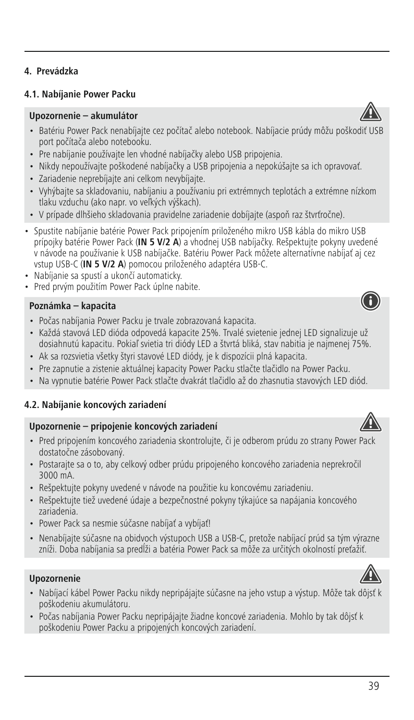# **4.1. Nabíjanie Power Packu**

#### **Upozornenie – akumulátor**

- Batériu Power Pack nenabíjajte cez počítač alebo notebook. Nabíjacie prúdy môžu poškodiť USB port počítača alebo notebooku.
- Pre nabíjanie používajte len vhodné nabíjačky alebo USB pripojenia.
- Nikdy nepoužívajte poškodené nabíjačky a USB pripojenia a nepokúšajte sa ich opravovať.
- Zariadenie neprebíjajte ani celkom nevybíjajte.
- Vyhýbajte sa skladovaniu, nabíjaniu a používaniu pri extrémnych teplotách a extrémne nízkom tlaku vzduchu (ako napr. vo veľkých výškach).
- V prípade dlhšieho skladovania pravidelne zariadenie dobíjajte (aspoň raz štvrťročne).
- Spustite nabíjanie batérie Power Pack pripojením priloženého mikro USB kábla do mikro USB prípojky batérie Power Pack (**IN 5 V/2 A**) a vhodnej USB nabíjačky. Rešpektujte pokyny uvedené v návode na používanie k USB nabíjačke. Batériu Power Pack môžete alternatívne nabíjať aj cez vstup USB-C (**IN 5 V/2 A**) pomocou priloženého adaptéra USB-C.
- Nabíjanie sa spustí a ukončí automaticky.
- Pred prvým použitím Power Pack úplne nabite.

#### **Poznámka – kapacita**

- Počas nabíjania Power Packu je trvale zobrazovaná kapacita.
- Každá stavová LED dióda odpovedá kapacite 25%. Trvalé svietenie jednej LED signalizuje už dosiahnutú kapacitu. Pokiaľ svietia tri diódy LED a štvrtá bliká, stav nabitia je najmenej 75%.
- Ak sa rozsvietia všetky štyri stavové LED diódy, je k dispozícii plná kapacita.
- Pre zapnutie a zistenie aktuálnej kapacity Power Packu stlačte tlačidlo na Power Packu.
- Na vypnutie batérie Power Pack stlačte dvakrát tlačidlo až do zhasnutia stavových LED diód.

# **4.2. Nabíjanie koncových zariadení**

#### **Upozornenie – pripojenie koncových zariadení**

- Pred pripojením koncového zariadenia skontrolujte, či je odberom prúdu zo strany Power Pack dostatočne zásobovaný.
- Postarajte sa o to, aby celkový odber prúdu pripojeného koncového zariadenia neprekročil 3000 mA.
- Rešpektujte pokyny uvedené v návode na použitie ku koncovému zariadeniu.
- Rešpektujte tiež uvedené údaje a bezpečnostné pokyny týkajúce sa napájania koncového zariadenia.
- Power Pack sa nesmie súčasne nabíjať a vybíjať!
- Nenabíjajte súčasne na obidvoch výstupoch USB a USB-C, pretože nabíjací prúd sa tým výrazne zníži. Doba nabíjania sa predĺži a batéria Power Pack sa môže za určitých okolností preťažiť.

#### **Upozornenie**

- Nabíjací kábel Power Packu nikdy nepripájajte súčasne na jeho vstup a výstup. Môže tak dôjsť k poškodeniu akumulátoru.
- Počas nabíjania Power Packu nepripájajte žiadne koncové zariadenia. Mohlo by tak dôjsť k poškodeniu Power Packu a pripojených koncových zariadení.







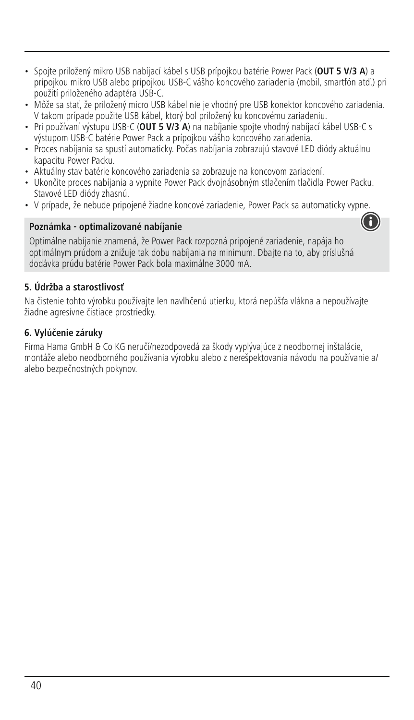- Spojte priložený mikro USB nabíjací kábel s USB prípojkou batérie Power Pack (**OUT 5 V/3 A**) a prípojkou mikro USB alebo prípojkou USB-C vášho koncového zariadenia (mobil, smartfón atď.) pri použití priloženého adaptéra USB-C.
- Môže sa stať, že priložený micro USB kábel nie je vhodný pre USB konektor koncového zariadenia. V takom prípade použite USB kábel, ktorý bol priložený ku koncovému zariadeniu.
- Pri používaní výstupu USB-C (**OUT 5 V/3 A**) na nabíjanie spojte vhodný nabíjací kábel USB-C s výstupom USB-C batérie Power Pack a prípojkou vášho koncového zariadenia.
- Proces nabíjania sa spustí automaticky. Počas nabíjania zobrazujú stavové LED diódy aktuálnu kapacitu Power Packu.
- Aktuálny stav batérie koncového zariadenia sa zobrazuje na koncovom zariadení.
- Ukončite proces nabíjania a vypnite Power Pack dvojnásobným stlačením tlačidla Power Packu. Stavové LED diódy zhasnú.
- V prípade, že nebude pripojené žiadne koncové zariadenie, Power Pack sa automaticky vypne.

#### **Poznámka - optimalizované nabíjanie**



Optimálne nabíjanie znamená, že Power Pack rozpozná pripojené zariadenie, napája ho optimálnym prúdom a znižuje tak dobu nabíjania na minimum. Dbajte na to, aby príslušná dodávka prúdu batérie Power Pack bola maximálne 3000 mA.

# **5. Údržba a starostlivosť**

Na čistenie tohto výrobku používajte len navlhčenú utierku, ktorá nepúšťa vlákna a nepoužívajte žiadne agresívne čistiace prostriedky.

#### **6. Vylúčenie záruky**

Firma Hama GmbH & Co KG neručí/nezodpovedá za škody vyplývajúce z neodbornej inštalácie, montáže alebo neodborného používania výrobku alebo z nerešpektovania návodu na používanie a/ alebo bezpečnostných pokynov.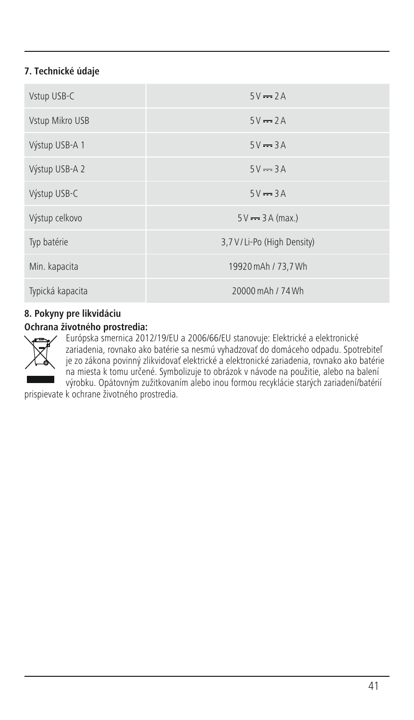# **7. Technické údaje**

| Vstup USB-C      | $5V = 2A$                    |
|------------------|------------------------------|
| Vstup Mikro USB  | $5V = 2A$                    |
| Výstup USB-A 1   | $5V = 3A$                    |
| Výstup USB-A 2   | $5V = 3A$                    |
| Výstup USB-C     | $5V = 3A$                    |
| Výstup celkovo   | $5V = 3A$ (max.)             |
| Typ batérie      | 3,7 V / Li-Po (High Density) |
| Min. kapacita    | 19920 mAh / 73,7 Wh          |
| Typická kapacita | 20000 mAh / 74 Wh            |

# **8. Pokyny pre likvidáciu**

# **Ochrana životného prostredia:**



Európska smernica 2012/19/EU a 2006/66/EU stanovuje: Elektrické a elektronické<br>zariadenia, rovnako ako batérie sa nesmú vyhadzovať do domáceho odpadu. Spotrebiteľ<br>je zo zákona povinný zlikvidovať elektrické a elektronické na miesta k tomu určené. Symbolizuje to obrázok v návode na použitie, alebo na balení výrobku. Opätovným zužitkovaním alebo inou formou recyklácie starých zariadení/batérií

prispievate k ochrane životného prostredia.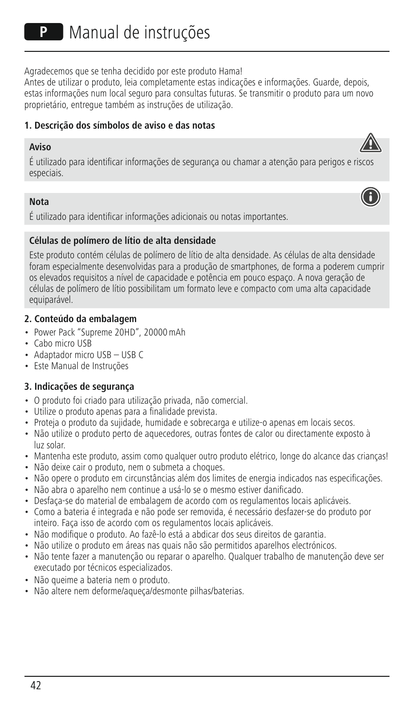Agradecemos que se tenha decidido por este produto Hama!

Antes de utilizar o produto, leia completamente estas indicações e informações. Guarde, depois, estas informações num local seguro para consultas futuras. Se transmitir o produto para um novo proprietário, entregue também as instruções de utilização.

# **1. Descrição dos símbolos de aviso e das notas**

#### **Aviso**



#### **Nota**

É utilizado para identificar informações adicionais ou notas importantes.

#### **Células de polímero de lítio de alta densidade**

Este produto contém células de polímero de lítio de alta densidade. As células de alta densidade foram especialmente desenvolvidas para a produção de smartphones, de forma a poderem cumprir os elevados requisitos a nível de capacidade e potência em pouco espaço. A nova geração de células de polímero de lítio possibilitam um formato leve e compacto com uma alta capacidade equiparável.

#### **2. Conteúdo da embalagem**

- Power Pack "Supreme 20HD", 20000mAh
- Cabo micro USB
- Adaptador micro USB USB C
- Este Manual de Instruções

# **3. Indicações de segurança**

- O produto foi criado para utilização privada, não comercial.
- Utilize o produto apenas para a finalidade prevista.
- Proteja o produto da sujidade, humidade e sobrecarga e utilize-o apenas em locais secos.
- Não utilize o produto perto de aquecedores, outras fontes de calor ou directamente exposto à luz solar.
- Mantenha este produto, assim como qualquer outro produto elétrico, longe do alcance das crianças!
- Não deixe cair o produto, nem o submeta a choques.
- Não opere o produto em circunstâncias além dos limites de energia indicados nas especificações.
- Não abra o aparelho nem continue a usá-lo se o mesmo estiver danificado.
- Desfaça-se do material de embalagem de acordo com os regulamentos locais aplicáveis.
- Como a bateria é integrada e não pode ser removida, é necessário desfazer-se do produto por inteiro. Faça isso de acordo com os regulamentos locais aplicáveis.
- Não modifique o produto. Ao fazê-lo está a abdicar dos seus direitos de garantia.
- Não utilize o produto em áreas nas quais não são permitidos aparelhos electrónicos.
- Não tente fazer a manutenção ou reparar o aparelho. Qualquer trabalho de manutenção deve ser executado por técnicos especializados.
- Não queime a bateria nem o produto.
- Não altere nem deforme/aqueça/desmonte pilhas/baterias.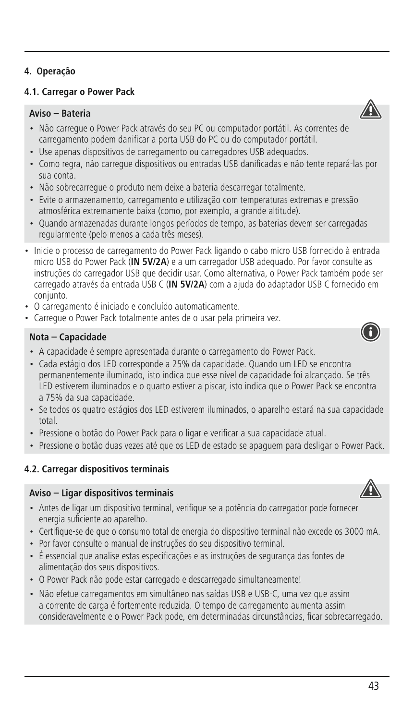## **4. Operação**

#### **4.1. Carregar o Power Pack**

# **Aviso – Bateria**

- Não carregue o Power Pack através do seu PC ou computador portátil. As correntes de carregamento podem danificar a porta USB do PC ou do computador portátil.
- Use apenas dispositivos de carregamento ou carregadores USB adequados.
- Como regra, não carregue dispositivos ou entradas USB danificadas e não tente repará-las por sua conta.
- Não sobrecarregue o produto nem deixe a bateria descarregar totalmente.
- Evite o armazenamento, carregamento e utilização com temperaturas extremas e pressão atmosférica extremamente baixa (como, por exemplo, a grande altitude).
- Quando armazenadas durante longos períodos de tempo, as baterias devem ser carregadas regularmente (pelo menos a cada três meses).
- Inicie o processo de carregamento do Power Pack ligando o cabo micro USB fornecido à entrada micro USB do Power Pack (IN 5V/2A) e a um carregador USB adequado. Por favor consulte as instruções do carregador USB que decidir usar. Como alternativa, o Power Pack também pode ser carregado através da entrada USB C (**IN 5V/2A**) com a ajuda do adaptador USB C fornecido em conjunto.
- O carregamento é iniciado e concluído automaticamente.
- Carregue o Power Pack totalmente antes de o usar pela primeira vez.

#### **Nota – Capacidade**

- A capacidade é sempre apresentada durante o carregamento do Power Pack.
- Cada estágio dos LED corresponde a 25% da capacidade. Quando um LED se encontra permanentemente iluminado, isto indica que esse nível de capacidade foi alcançado. Se três LED estiverem iluminados e o quarto estiver a piscar, isto indica que o Power Pack se encontra a 75% da sua capacidade.
- Se todos os quatro estágios dos LED estiverem iluminados, o aparelho estará na sua capacidade total.
- Pressione o botão do Power Pack para o ligar e verificar a sua capacidade atual.
- Pressione o botão duas vezes até que os LED de estado se apaguem para desligar o Power Pack.

# **4.2. Carregar dispositivos terminais**

#### **Aviso – Ligar dispositivos terminais**

- Antes de ligar um dispositivo terminal, verifique se a potência do carregador pode fornecer energia suficiente ao aparelho.
- Certifique-se de que o consumo total de energia do dispositivo terminal não excede os 3000 mA.
- Por favor consulte o manual de instruções do seu dispositivo terminal.
- É essencial que analise estas especificações e as instruções de segurança das fontes de alimentação dos seus dispositivos.
- O Power Pack não pode estar carregado e descarregado simultaneamente!
- Não efetue carregamentos em simultâneo nas saídas USB e USB-C, uma vez que assim a corrente de carga é fortemente reduzida. O tempo de carregamento aumenta assim consideravelmente e o Power Pack pode, em determinadas circunstâncias, ficar sobrecarregado.





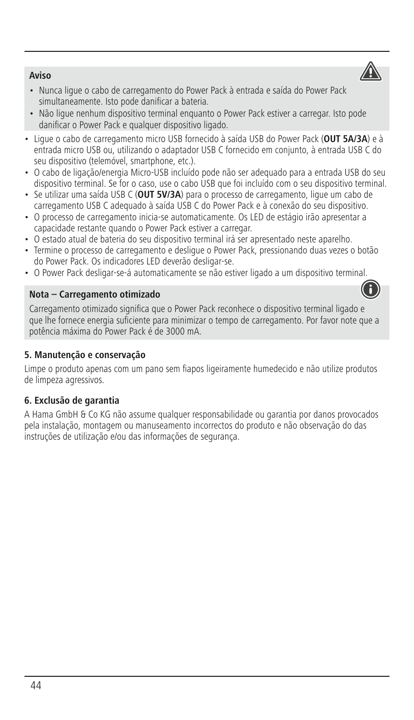**Aviso**

- Nunca ligue o cabo de carregamento do Power Pack à entrada e saída do Power Pack simultaneamente. Isto pode danificar a bateria.
- Não ligue nenhum dispositivo terminal enquanto o Power Pack estiver a carregar. Isto pode danificar o Power Pack e qualquer dispositivo ligado.
- Ligue o cabo de carregamento micro USB fornecido à saída USB do Power Pack (**OUT 5A/3A**)eà entrada micro USB ou, utilizando o adaptador USB C fornecido em conjunto, à entrada USB C do seu dispositivo (telemóvel, smartphone, etc.).
- · O cabo de ligação/energia Micro-USB incluído pode não ser adequado para a entrada USB do seu dispositivo terminal. Se for o caso, use o cabo USB que foi incluído com o seu dispositivo terminal.
- Se utilizar uma saída USB C (**OUT 5V/3A**) paraoprocesso de carregamento, ligue um cabo de carregamento USB C adequado à saída USB C do Power Pack eàconexão do seu dispositivo.
- O processo de carregamento inicia-se automaticamente. Os LED de estágio irão apresentar a capacidade restante quando o Power Pack estiver a carregar.
- O estado atual de bateria do seu dispositivo terminal irá ser apresentado neste aparelho.
- Termine o processo de carregamento e desligue o Power Pack, pressionando duas vezes o botão do Power Pack. Os indicadores LED deverão desligar-se.
- O Power Pack desligar-se-á automaticamente se não estiver ligado a um dispositivo terminal.

#### **Nota – Carregamento otimizado**

Carregamento otimizado significa que o Power Pack reconhece o dispositivo terminal ligado e que lhe fornece energia suficiente para minimizar o tempo de carregamento. Por favor note que a potência máxima do Power Pack é de 3000 mA.

#### **5. Manutenção e conservação**

Limpe o produto apenas com um pano sem fiapos ligeiramente humedecido e não utilize produtos de limpeza agressivos.

#### **6. Exclusão de garantia**

A Hama GmbH & Co KG não assume qualquer responsabilidade ou garantia por danos provocados pela instalação, montagem ou manuseamento incorrectos do produto e não observação do das instruções de utilização e/ou das informações de segurança.



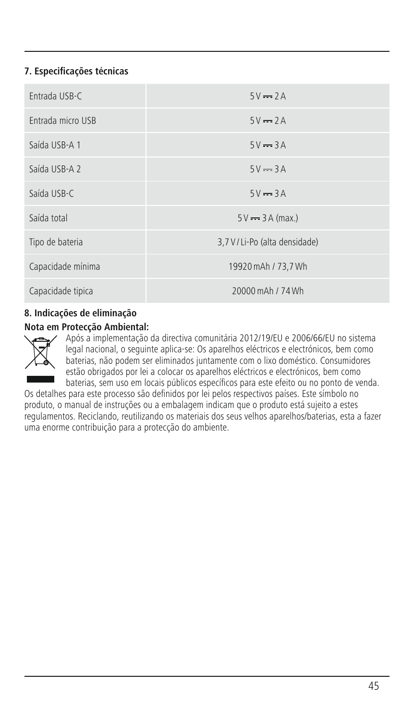# **7. Especificações técnicas**

| Fntrada USB-C     | $5V = 2A$                      |
|-------------------|--------------------------------|
| Entrada micro USB | $5V = 2A$                      |
| Saída USB-A 1     | $5V = 3A$                      |
| Saída USB-A 2     | $5V = 3A$                      |
| Saída USB-C       | $5V = 3A$                      |
| Saída total       | $5V \rightarrow 3A$ (max.)     |
| Tipo de bateria   | 3,7 V / Li-Po (alta densidade) |
| Capacidade mínima | 19920 mAh / 73,7 Wh            |
| Capacidade tipica | 20000 mAh / 74 Wh              |

# **8. Indicações de eliminação**

#### **Nota em Protecção Ambiental:**



Após a implementação da directiva comunitária 2012/19/EU e 2006/66/EU no sistema legal nacional, o seguinte aplica-se: Os aparelhos eléctricos e electrónicos, bem como baterias, não podem ser eliminados juntamente com o lixo doméstico. Consumidores estão obrigados por lei a colocar os aparelhos eléctricos e electrónicos, bem como baterias, sem uso em locais públicos específicos para este efeito ou no ponto de venda.

Os detalhes para este processo são definidos por lei pelos respectivos países. Este símbolo no produto, o manual de instruções ou a embalagem indicam que o produto está sujeito a estes regulamentos. Reciclando, reutilizando os materiais dos seus velhos aparelhos/baterias, esta a fazer uma enorme contribuição para a protecção do ambiente.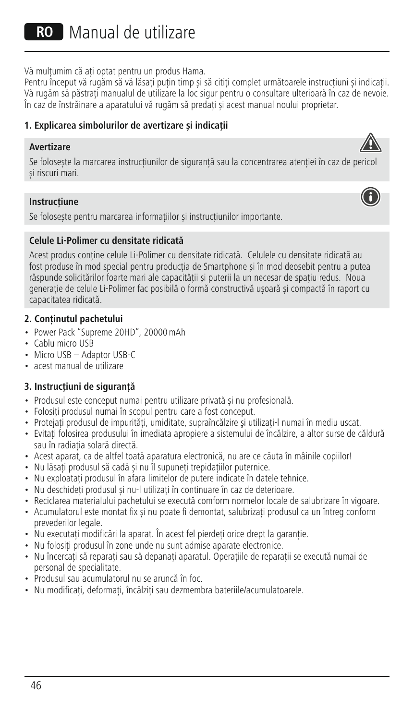RO Manual de utilizare

Vă multumim că ati optat pentru un produs Hama.

Pentru început vă rugăm să vă lăsați puțin timp și să citiți complet următoarele instrucțiuni și indicații. Vă rugăm să păstrați manualul de utilizare la loc sigur pentru o consultare ulterioară în caz de nevoie. În caz de înstrăinare a aparatului vă rugăm să predați și acest manual noului proprietar.

# **1. Explicarea simbolurilor de avertizare și indicații**

# **Avertizare**

Se folosește la marcarea instrucțiunilor de siguranță sau la concentrarea atenției în caz de pericol și riscuri mari.

# **Instrucțiune**

Se folosește pentru marcarea informațiilor și instrucțiunilor importante.

# **Celule Li-Polimer cu densitate ridicată**

Acest produs conține celule Li-Polimer cu densitate ridicată. Celulele cu densitate ridicată au fost produse în mod special pentru producția de Smartphone și în mod deosebit pentru a putea răspunde solicitărilor foarte mari ale capacității și puterii la un necesar de spațiu redus. Noua generație de celule Li-Polimer fac posibilă o formă constructivă ușoară și compactă în raport cu capacitatea ridicată.

# **2. Conţinutul pachetului**

- Power Pack "Supreme 20HD", 20000mAh
- Cablu micro USB
- Micro USB Adaptor USB-C
- acest manual de utilizare

# **3. Instrucțiuni de siguranță**

- Produsul este conceput numai pentru utilizare privată și nu profesională.
- Folositi produsul numai în scopul pentru care a fost conceput.
- Protejati produsul de impurități, umiditate, supraîncălzire și utilizați-l numai în mediu uscat.
- Evitați folosirea produsului în imediata apropiere a sistemului de încălzire, a altor surse de căldură sau în radiația solară directă.
- Acest aparat, ca de altfel toată aparatura electronică, nu are ce căuta în mâinile copiilor!
- Nu lăsați produsul să cadă și nu îl supuneți trepidațiilor puternice.
- Nu exploatati produsul în afara limitelor de putere indicate în datele tehnice.
- Nu deschideți produsul și nu-l utilizați în continuare în caz de deterioare.
- Reciclarea materialului pachetului se execută comform normelor locale de salubrizare în vigoare.
- Acumulatorul este montat fix și nu poate fi demontat, salubrizați produsul ca un întreg conform prevederilor legale.
- Nu executaţi modificări la aparat. În acest fel pierdeţi orice drept la garanţie.
- Nu folositi produsul în zone unde nu sunt admise aparate electronice.
- Nu încercați să reparați sau să depanați aparațul. Operațiile de reparații se execută numai de personal de specialitate.
- Produsul sau acumulatorul nu se aruncă în foc.
- Nu modificați, deformați, încălziți sau dezmembra bateriile/acumulatoarele.



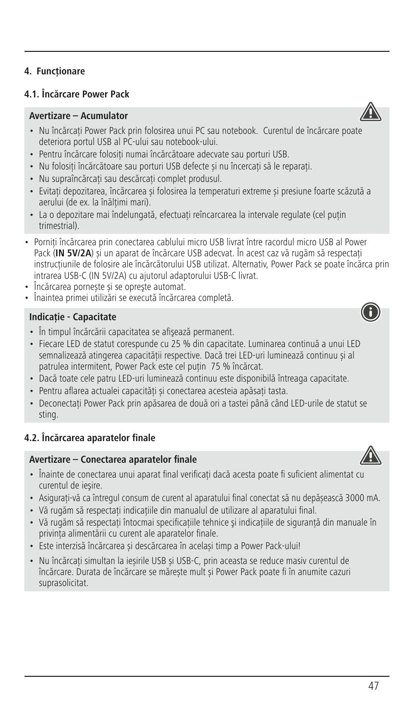# **4.1. Încărcare Power Pack**

# **Avertizare–Acumulator**

- Nu încărcați Power Pack prin folosirea unui PC sau notebook. Curentul de încărcare poate deteriora portul USB al PC-ului sau notebook-ului.
- Pentru încărcare folosiți numai încărcătoare adecvate sau porturi USB.
- Nu folositi încărcătoare sau porturi USB defecte și nu încercați să le reparați.
- Nu supraîncărcați sau descărcați complet produsul.
- Evitați depozitarea, încărcarea și folosirea la temperaturi extreme și presiune foarte scăzută a aerului (de ex. la înălțimi mari).
- Laodepozitare mai îndelungată, efectuați reîncarcarea la intervale regulate (cel puțin trimestrial).
- Porniți încărcarea prin conectarea cablului micro USB livrat între racordul micro USB al Power Pack (**IN 5V/2A**) și un aparat de încărcare USB adecvat. În acest caz vă rugăm să respectați instrucțiunile de folosire ale încărcătorului USB utilizat. Alternativ, Power Pack se poate încărca prin intrarea USB-C (IN 5V/2A) cu ajutorul adaptorului USB-C livrat.
- Încărcarea pornește și se opreşte automat.
- Înaintea primei utilizări se execută încărcarea completă.

#### **Indicație - Capacitate**

- În timpul încărcării capacitatea se afişează permanent.
- Fiecare LED de statut corespunde cu 25 % din capacitate. Luminarea continuă a unui LED semnalizează atingerea capacităţii respective. Dacă trei LED-uri luminează continuu și al patrulea intermitent, Power Pack este cel putin 75 % încărcat.
- Dacă toate cele patru LED-uri luminează continuu este disponibilă întreaga capacitate.
- Pentru aflarea actualei capacităţi și conectarea acesteia apăsaţi tasta.
- Deconectați Power Pack prin apăsarea de două ori a tastei până când LED-urile de statut se sting.

# **4.2. Încărcarea aparatelor finale**

#### **Avertizare–Conectarea aparatelor finale**

- Înainte de conectarea unui aparat final verificați dacă acesta poate fi suficient alimentat cu curentul de ieşire.
- Asigurați-vă ca întregul consum de curent al aparatului final conectat să nu depășească 3000 mA.
- Vă rugăm să respectați indicațiile din manualul de utilizare al aparatului final.
- Vă rugăm să respectaţi întocmai specificaţiile tehnice şi indicaţiile de siguranţă din manuale în privinţa alimentării cu curent ale aparatelor finale.
- Este interzisă încărcarea și descărcarea în același timp a Power Pack-ului!
- Nu încărcați simultan la ieșirile USB și USB-C, prin aceasta se reduce masiv curentul de încărcare. Durata de încărcare se mărește mult și Power Pack poate fi în anumite cazuri suprasolicitat.



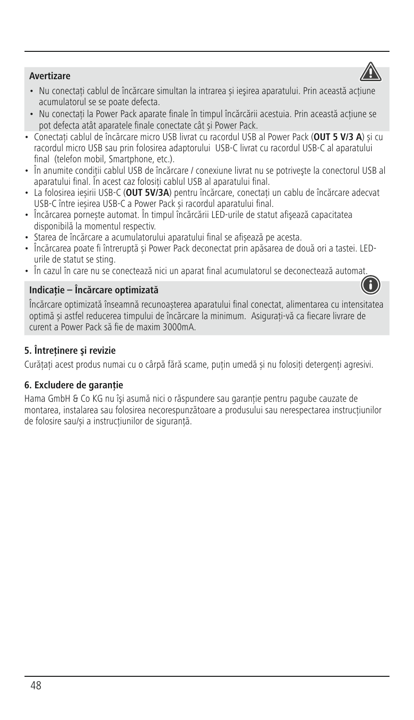# **Avertizare**



- Nu conectați cablul de încărcare simultan la intrarea și ieșirea aparatului. Prin această acțiune acumulatorul se se poate defecta.
- Nu conectați la Power Pack aparate finale în timpul încărcării acestuia. Prin această acțiune se pot defecta atât aparatele finale conectate cât și Power Pack.
- Conectați cablul de încărcare micro USB livrat cu racordul USB al Power Pack (**OUT 5 V/3 A**) și cu racordul micro USB sau prin folosirea adaptorului USB-C livrat cu racordul USB-C al aparatului final (telefon mobil, Smartphone, etc.).
- În anumite condiții cablul USB de încărcare / conexiune livrat nu se potrivește la conectorul USB al aparatului final. În acest caz folositi cablul USB al aparatului final.
- La folosirea ieșirii USB-C (**OUT 5V/3A**) pentru încărcare, conectați un cablu de încărcare adecvat USB-C între ieșirea USB-C a Power Pack și racordul aparatului final.
- Încărcarea pornește automat. În timpul încărcării LED-urile de statut afişează capacitatea disponibilă la momentul respectiv.
- Starea de încărcareaacumulatorului aparatului final se afișează pe acesta.
- Încărcarea poate fi întreruptă și Power Pack deconectat prin apăsarea de două ori a tastei. LEDurile de statut se sting.
- În cazul în care nu se conectează nici un aparat final acumulatorul se deconectează automat.

#### **Indicație – Încărcare optimizată**



Încărcare optimizată înseamnă recunoașterea aparatului final conectat, alimentarea cu intensitatea optimă și astfel reducerea timpului de încărcare la minimum. Asigurați-vă ca fiecare livrare de curent a Power Pack să fie de maxim 3000mA.

# **5. Întreţinere şi revizie**

Curățați acest produs numai cu o cârpă fără scame, puțin umedă și nu folosiți detergenți agresivi.

# **6. Excludere de garanție**

Hama GmbH & Co KG nu îşi asumă nici o răspundere sau garanție pentru pagube cauzate de montarea, instalarea sau folosirea necorespunzătoare a produsului sau nerespectarea instrucțiunilor de folosire sau/și a instrucțiunilor de siguranță.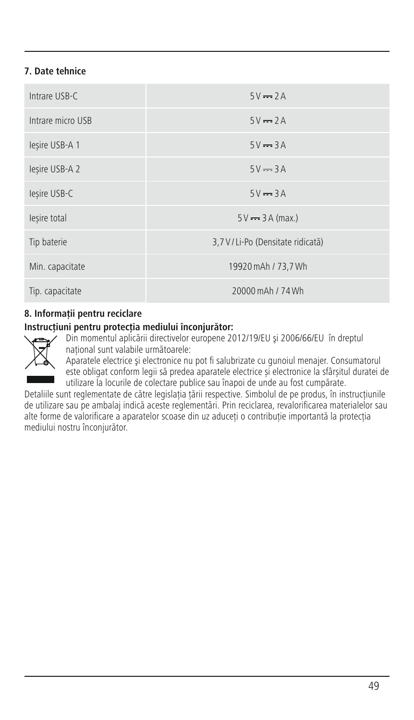# **7. Date tehnice**

| Intrare USB-C     | $5V = 2A$                        |
|-------------------|----------------------------------|
| Intrare micro USB | $5V = 2A$                        |
| lesire USB-A 1    | $5V = 3A$                        |
| lesire USB-A 2    | $5V = 3A$                        |
| lesire USB-C      | $5V = 3A$                        |
| lesire total      | $5V = 3A (max.)$                 |
| Tip baterie       | 3,7 V/Li-Po (Densitate ridicată) |
| Min. capacitate   | 19920 mAh / 73,7 Wh              |
| Tip. capacitate   | 20000 mAh / 74 Wh                |

# **8. Informații pentru reciclare**

# **Instrucţiuni pentru protecţia mediului înconjurător:**



Din momentul aplicării directivelor europene 2012/19/EU şi 2006/66/EU în dreptul național sunt valabile următoarele:

Aparatele electrice şi electronice nu pot fi salubrizate cu gunoiul menajer. Consumatorul este obligat conform legii să predea aparatele electrice și electronice la sfârșitul duratei de utilizare la locurile de colectare publice sau înapoi de unde au fost cumpărate.

Detaliile sunt reglementate de către legislația țării respective. Simbolul de pe produs, în instrucțiunile de utilizare sau pe ambalaj indică aceste reglementări. Prin reciclarea, revalorificarea materialelor sau alte forme de valorificare a aparatelor scoase din uz aduceți o contribuție importantă la protecția mediului nostru înconjurător.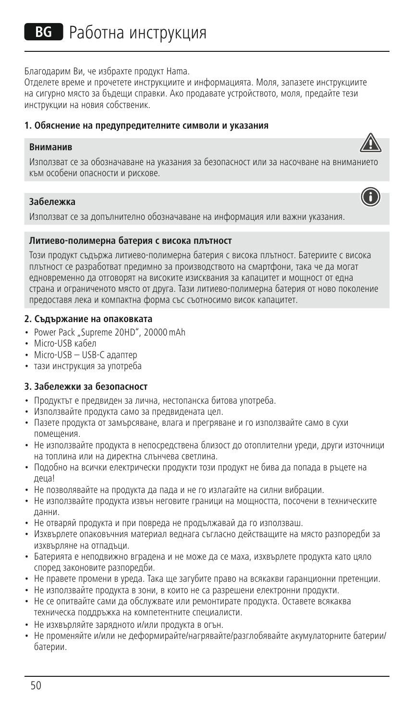Благодарим Ви, че избрахте продукт Hama.

Отделете време и прочетете инструкциите и информацията. Моля, запазете инструкциите на сигурно място за бъдещи справки. Ако продавате устройството, моля, предайте тези инструкции на новия собственик.

#### **1. Обяснение на предупредителните символи и указания**

#### **Вниманив**

Използват се за обозначаване на указания за безопасност или за насочване на вниманието към особени опасности и рискове.

# **Забележка**

Използват се за допълнително обозначаване на информация или важни указания.

#### **Литиево-полимерна батерия с висока плътност**

Този продукт съдържа литиево-полимерна батерия с висока плътност. Батериите с висока плътност се разработват предимно за производството на смартфони, така че да могат едновременно да отговорят на високите изисквания за капацитет и мощност от една страна и ограниченото място от друга. Тази литиево-полимерна батерия от ново поколение предоставя лека и компактна форма със съотносимо висок капацитет.

#### **2. Съдържание на опаковката**

- Power Pack "Supreme 20HD", 20000 mAh
- Micro-USB кабел
- Micro-USB USB-C адаптер
- тази инструкция за употреба

# **3. Забележки за безопасност**

- Продуктът е предвиден за лична, нестопанска битова употреба.
- Използвайте продукта само за предвидената цел.
- Пазете продукта от замърсяване, влага и прегряване и го използвайте само в сухи помещения.
- Не използвайте продукта в непосредствена близост до отоплителни уреди, други източници на топлина или на директна слънчева светлина.
- Подобно на всички електрически продукти този продукт не бива да попада в ръцете на деца!
- Не позволявайте на продукта да пада и не го излагайте на силни вибрации.
- Не използвайте продукта извън неговите граници на мощността, посочени в техническите данни.
- Не отваряй продукта и при повреда не продължавай да го използваш.
- Изхвърлете опаковъчния материал веднага съгласно действащите на място разпоредби за изхвърляне на отпадъци.
- Батерията е неполвижно вградена и не може да се маха, изхвърлете продукта като цяло според законовите разпоредби.
- Не правете промени в уреда. Така ще загубите право на всякакви гаранционни претенции.
- Не използвайте продукта в зони, в които не са разрешени електронни продукти.
- Не се опитвайте сами да обслужвате или ремонтирате продукта. Оставете всякаква техническа поддръжка на компетентните специалисти.
- Не изхвърляйте зарядното и/или продукта в огън.
- Не променяйте и/или не деформирайте/нагрявайте/разглобявайте акумулаторните батерии/ батерии.



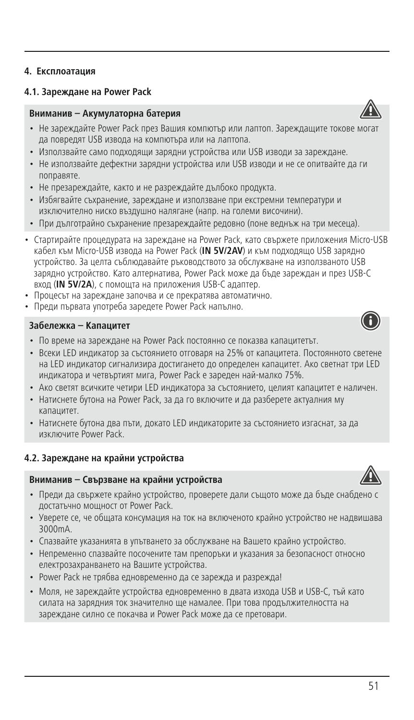**4. Експлоатация**

#### **Вниманив – Акумулаторна батерия**

- Не зареждайте Power Pack през Вашия компютър или лаптоп. Зареждащите токове могат да повредят USB извода на компютъра или на лаптопа.
- Използвайте само подходящи зарядни устройства или USB изводи за зареждане.
- Не използвайте дефектни зарядни устройства или USB изводи и не се опитвайте да ги поправяте.
- Не презареждайте, както и не разреждайте дълбоко продукта.
- Избягвайте съхранение, зареждане и използване при екстремни температури и изключително ниско въздушно налягане (напр. на големи височини).
- При дълготрайно съхранение презареждайте редовно (поне веднъж на три месеца).
- Стартирайте процедурата на зареждане на Power Pack, като свържете приложения Micro-USB кабел към Micro-USB извода на Power Pack (**IN 5V/2AV**) и към подходящо USB зарядно устройство. За целта съблюдавайте ръководството за обслужване на използваното USB зарядно устройство. Като алтернатива, Power Pack може да бъде зареждан и през USB-C вход (**IN 5V/2A**), с помощта на приложения USB-C адаптер.
- Процесът на зареждане започва и се прекратява автоматично.
- Прели първата употреба заредете Power Pack напълно.

### **Забележка – Капацитет**

- По време на зареждане на Power Pack постоянно се показва капацитетът.
- Всеки LED индикатор за състоянието отговаря на 25% от капацитета. Постоянното светене на LED индикатор сигнализира достигането до определен капацитет. Ако светнат три LED индикатора и четвъртият мига, Power Pack е зареден най-малко 75%.
- Ако светят всичките четири LED индикатора за състоянието, целият капацитет е наличен.
- Натиснете бутона на Power Pack, за да го включите и да разберете актуалния му капацитет.
- Натиснете бутона два пъти, докато LED индикаторите за състоянието изгаснат, за да изключите Power Pack.

#### **4.2. Зареждане на крайни устройства**

#### **Вниманив – Свързване на крайни устройства**

- Преди да свържете крайно устройство, проверете дали същото може да бъде снабдено с достатъчно мощност от Power Pack.
- Уверете се, че общата консумация на ток на включеното крайно устройство не надвишава 3000mA.
- Спазвайте указанията в упътването за обслужване на Вашето крайно устройство.
- Непременно спазвайте посочените там препоръки и указания за безопасност относно електрозахранването на Вашите устройства.
- Power Pack не трябва едновременно да се зарежда и разрежда!
- Моля, не зареждайте устройства едновременно в двата изхода USB и USB-C, тъй като силата на зарядния ток значително ще намалее. При това продължителността на зареждане силно се покачва и Power Pack може да се претовари.





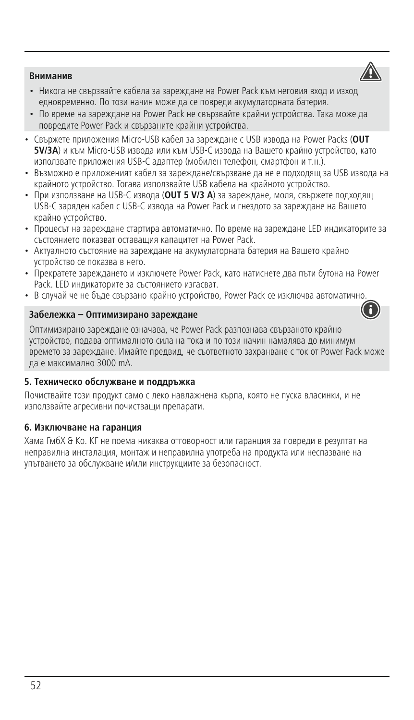#### **Вниманив**



- Никога не свързвайте кабела за зареждане на Power Pack към неговия вход и изход едновременно. По този начин може да се повреди акумулаторната батерия.
- По време на зареждане на Power Pack не свързвайте крайни устройства. Така може да повредите Power Pack и свързаните крайни устройства.
- Свържете приложения Micro-USB кабел за зареждане с USB извода на Power Packs (**OUT 5V/3A**) и към Micro-USB извода или към USB-C извода на Вашето крайно устройство, като използвате приложения USB-C адаптер (мобилен телефон, смартфон и т.н.).
- Възможно е приложеният кабел за зареждане/свързване да не е подходящ за USB извода на крайното устройство. Тогава използвайте USB кабела на крайното устройство.
- При използване на USB-C извода (**OUT 5 V/3 A**) за зареждане, моля, свържете подходящ USB-C заряден кабел с USB-C извода на Power Pack и гнездото за зареждане на Вашето крайно устройство.
- Процесът на зареждане стартира автоматично. По време на зареждане LED индикаторите за състоянието показват оставащия капацитет на Power Pack.
- Актуалното състояние на зареждане на акумулаторната батерия на Вашето крайно устройство се показва в него.
- Прекратете зареждането и изключете Power Pack, като натиснете два пъти бутона на Power Pack. LED индикаторите за състоянието изгасват.
- В случай че не бъле свързано крайно устройство. Power Pack се изключва автоматично

#### **Забележка – Оптимизирано зареждане**



Оптимизирано зареждане означава, че Power Pack разпознава свързаното крайно устройство, подава оптималното сила на тока и по този начин намалява до минимум времето за зареждане. Имайте предвид, че съответното захранване с ток от Power Pack може да е максимално 3000 mA.

# **5. Техническо обслужване и поддръжка**

Почиствайте този продукт само с леко навлажнена кърпа, която не пуска власинки, и не използвайте агресивни почистващи препарати.

#### **6. Изключване на гаранция**

Хама ГмбХ & Ко. КГ не поема никаква отговорност или гаранция за повреди в резултат на неправилна инсталация, монтаж и неправилна употреба на продукта или неспазване на упътването за обслужване и/или инструкциите за безопасност.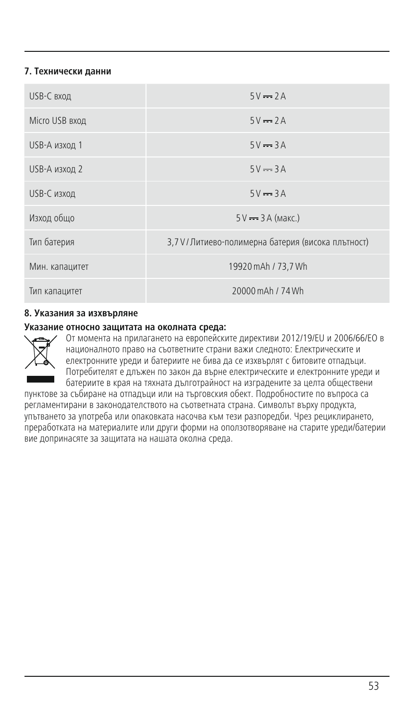# **7. Технически данни**

| USB-С вход     | $5V = 2A$                                           |
|----------------|-----------------------------------------------------|
| Micro USB вход | $5V = 2A$                                           |
| USB-А изход 1  | $5V = 3A$                                           |
| USB-А изход 2  | $5V = 3A$                                           |
| USB-С изход    | $5V = 3A$                                           |
| Изход общо     | $5V \rightarrow 3A$ (Makc.)                         |
| Тип батерия    | 3,7 V / Литиево-полимерна батерия (висока плътност) |
| Мин. капацитет | 19920 mAh / 73.7 Wh                                 |
| Тип капацитет  | 20000 mAh / 74 Wh                                   |

#### **8. Указания за изхвърляне**

#### **Указание относно защитата на околната среда:**



От момента на прилагането на европейските директиви 2012/19/EU и 2006/66/EО в националното право на съответните страни важи следното: Електрическите и електронните уреди и батериите не бива да се изхвърлят с битовите отпадъци. Потребителят е длъжен по закон да върне електрическите и електронните уреди и батериите в края на тяхната дълготрайност на изградените за целта обществени

пунктове за събиране на отпадъци или на търговския обект. Подробностите по въпроса са регламентирани в законодателството на съответната страна. Символът върху продукта, упътването за употреба или опаковката насочва към тези разпоредби. Чрез рециклирането, преработката на материалите или други форми на оползотворяване на старите уреди/батерии вие допринасяте за защитата на нашата околна среда.